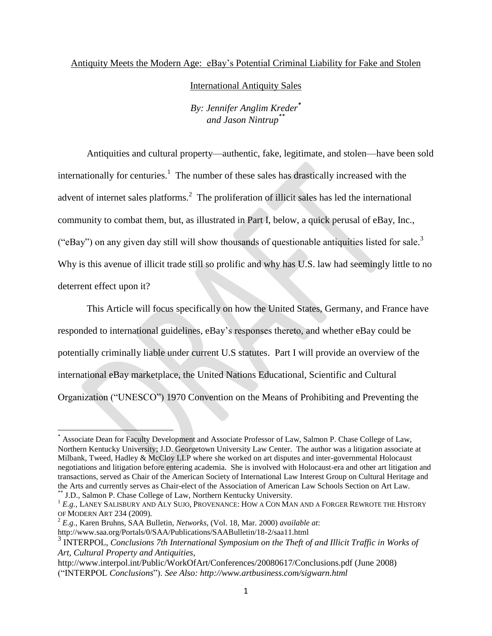#### Antiquity Meets the Modern Age: eBay's Potential Criminal Liability for Fake and Stolen

#### International Antiquity Sales

*By: Jennifer Anglim Kreder\* and Jason Nintrup \*\**

Antiquities and cultural property—authentic, fake, legitimate, and stolen—have been sold internationally for centuries.<sup>1</sup> The number of these sales has drastically increased with the advent of internet sales platforms.<sup>2</sup> The proliferation of illicit sales has led the international community to combat them, but, as illustrated in Part I, below, a quick perusal of eBay, Inc., ("eBay") on any given day still will show thousands of questionable antiquities listed for sale.<sup>3</sup> Why is this avenue of illicit trade still so prolific and why has U.S. law had seemingly little to no deterrent effect upon it?

This Article will focus specifically on how the United States, Germany, and France have responded to international guidelines, eBay's responses thereto, and whether eBay could be potentially criminally liable under current U.S statutes. Part I will provide an overview of the international eBay marketplace, the United Nations Educational, Scientific and Cultural Organization ("UNESCO") 1970 Convention on the Means of Prohibiting and Preventing the

 $\overline{a}$ 

<sup>\*</sup> Associate Dean for Faculty Development and Associate Professor of Law, Salmon P. Chase College of Law, Northern Kentucky University; J.D. Georgetown University Law Center. The author was a litigation associate at Milbank, Tweed, Hadley & McCloy LLP where she worked on art disputes and inter-governmental Holocaust negotiations and litigation before entering academia. She is involved with Holocaust-era and other art litigation and transactions, served as Chair of the American Society of International Law Interest Group on Cultural Heritage and the Arts and currently serves as Chair-elect of the Association of American Law Schools Section on Art Law. \*\* J.D., Salmon P. Chase College of Law, Northern Kentucky University.

<sup>1</sup> *E.g.,* LANEY SALISBURY AND ALY SUJO, PROVENANCE: HOW A CON MAN AND A FORGER REWROTE THE HISTORY OF MODERN ART 234 (2009).

<sup>2</sup> *E.g.,* Karen Bruhns, SAA Bulletin, *Networks*, (Vol. 18, Mar. 2000) *available at*:

http://www.saa.org/Portals/0/SAA/Publications/SAABulletin/18-2/saa11.html

<sup>&</sup>lt;sup>3</sup> INTERPOL, *Conclusions 7th International Symposium on the Theft of and Illicit Traffic in Works of Art, Cultural Property and Antiquities*,

http://www.interpol.int/Public/WorkOfArt/Conferences/20080617/Conclusions.pdf (June 2008) ("INTERPOL *Conclusions*"). *See Also: http://www.artbusiness.com/sigwarn.html*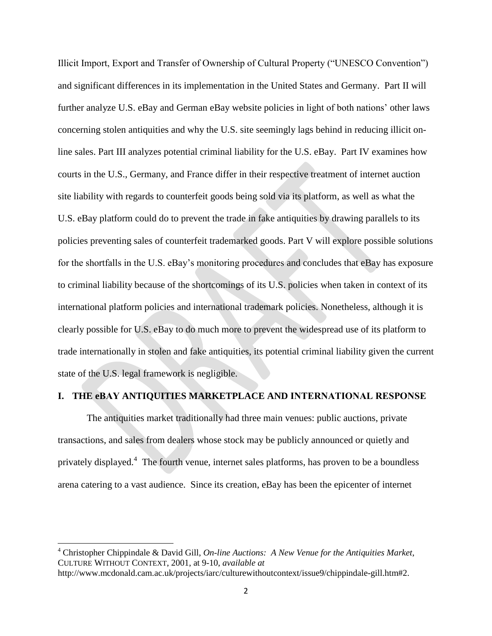Illicit Import, Export and Transfer of Ownership of Cultural Property ("UNESCO Convention") and significant differences in its implementation in the United States and Germany. Part II will further analyze U.S. eBay and German eBay website policies in light of both nations' other laws concerning stolen antiquities and why the U.S. site seemingly lags behind in reducing illicit online sales. Part III analyzes potential criminal liability for the U.S. eBay. Part IV examines how courts in the U.S., Germany, and France differ in their respective treatment of internet auction site liability with regards to counterfeit goods being sold via its platform, as well as what the U.S. eBay platform could do to prevent the trade in fake antiquities by drawing parallels to its policies preventing sales of counterfeit trademarked goods. Part V will explore possible solutions for the shortfalls in the U.S. eBay's monitoring procedures and concludes that eBay has exposure to criminal liability because of the shortcomings of its U.S. policies when taken in context of its international platform policies and international trademark policies. Nonetheless, although it is clearly possible for U.S. eBay to do much more to prevent the widespread use of its platform to trade internationally in stolen and fake antiquities, its potential criminal liability given the current state of the U.S. legal framework is negligible.

### **I. THE eBAY ANTIQUITIES MARKETPLACE AND INTERNATIONAL RESPONSE**

The antiquities market traditionally had three main venues: public auctions, private transactions, and sales from dealers whose stock may be publicly announced or quietly and privately displayed.<sup>4</sup> The fourth venue, internet sales platforms, has proven to be a boundless arena catering to a vast audience. Since its creation, eBay has been the epicenter of internet

 $\overline{a}$ 

<sup>4</sup> Christopher Chippindale & David Gill, *On-line Auctions: A New Venue for the Antiquities Market*, CULTURE WITHOUT CONTEXT, 2001, at 9-10, *available at*

http://www.mcdonald.cam.ac.uk/projects/iarc/culturewithoutcontext/issue9/chippindale-gill.htm#2.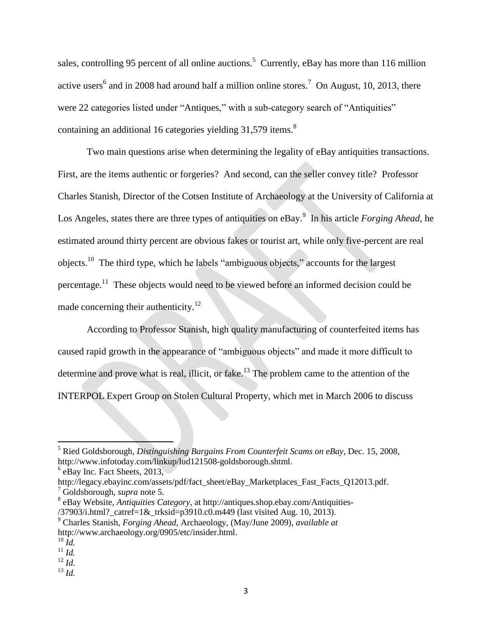sales, controlling 95 percent of all online auctions.<sup>5</sup> Currently, eBay has more than 116 million active users<sup>6</sup> and in 2008 had around half a million online stores.<sup>7</sup> On August, 10, 2013, there were 22 categories listed under "Antiques," with a sub-category search of "Antiquities" containing an additional 16 categories yielding 31,579 items.<sup>8</sup>

Two main questions arise when determining the legality of eBay antiquities transactions. First, are the items authentic or forgeries? And second, can the seller convey title? Professor Charles Stanish, Director of the Cotsen Institute of Archaeology at the University of California at Los Angeles, states there are three types of antiquities on eBay. 9 In his article *Forging Ahead*, he estimated around thirty percent are obvious fakes or tourist art, while only five-percent are real objects.<sup>10</sup> The third type, which he labels "ambiguous objects," accounts for the largest percentage.<sup>11</sup> These objects would need to be viewed before an informed decision could be made concerning their authenticity.<sup>12</sup>

According to Professor Stanish, high quality manufacturing of counterfeited items has caused rapid growth in the appearance of "ambiguous objects" and made it more difficult to determine and prove what is real, illicit, or fake.<sup>13</sup> The problem came to the attention of the INTERPOL Expert Group on Stolen Cultural Property, which met in March 2006 to discuss

<sup>5</sup> Ried Goldsborough, *Distinguishing Bargains From Counterfeit Scams on eBay*, Dec. 15, 2008, http://www.infotoday.com/linkup/lud121508-goldsborough.shtml.

<sup>6</sup> eBay Inc. Fact Sheets, 2013,

http://legacy.ebayinc.com/assets/pdf/fact\_sheet/eBay\_Marketplaces\_Fast\_Facts\_Q12013.pdf. <sup>7</sup> Goldsborough, *supra* note 5.

<sup>8</sup> eBay Website, *Antiquities Category*, at http://antiques.shop.ebay.com/Antiquities-

<sup>/37903/</sup>i.html?\_catref=1&\_trksid=p3910.c0.m449 (last visited Aug. 10, 2013). <sup>9</sup> Charles Stanish, *Forging Ahead,* Archaeology, (May/June 2009), *available at* 

http://www.archaeology.org/0905/etc/insider.html.

 $^{10}$   $\tilde{I}$ *d*.

<sup>11</sup> *Id.*

<sup>12</sup> *Id.*

<sup>13</sup> *Id.*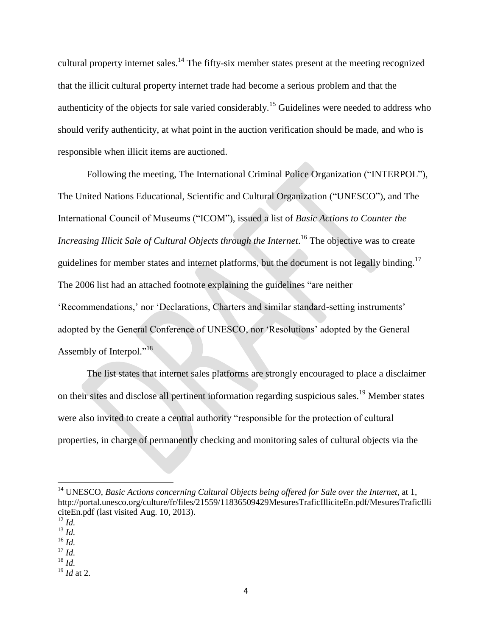cultural property internet sales.<sup>14</sup> The fifty-six member states present at the meeting recognized that the illicit cultural property internet trade had become a serious problem and that the authenticity of the objects for sale varied considerably.<sup>15</sup> Guidelines were needed to address who should verify authenticity, at what point in the auction verification should be made, and who is responsible when illicit items are auctioned.

Following the meeting, The International Criminal Police Organization ("INTERPOL"), The United Nations Educational, Scientific and Cultural Organization ("UNESCO"), and The International Council of Museums ("ICOM"), issued a list of *Basic Actions to Counter the*  Increasing Illicit Sale of Cultural Objects through the Internet.<sup>16</sup> The objective was to create guidelines for member states and internet platforms, but the document is not legally binding.<sup>17</sup> The 2006 list had an attached footnote explaining the guidelines "are neither 'Recommendations,' nor 'Declarations, Charters and similar standard-setting instruments' adopted by the General Conference of UNESCO, nor 'Resolutions' adopted by the General Assembly of Interpol."<sup>18</sup>

The list states that internet sales platforms are strongly encouraged to place a disclaimer on their sites and disclose all pertinent information regarding suspicious sales.<sup>19</sup> Member states were also invited to create a central authority "responsible for the protection of cultural properties, in charge of permanently checking and monitoring sales of cultural objects via the

 $\overline{\phantom{a}}$ 

<sup>16</sup> *Id.* 

<sup>&</sup>lt;sup>14</sup> UNESCO, *Basic Actions concerning Cultural Objects being offered for Sale over the Internet, at 1,* http://portal.unesco.org/culture/fr/files/21559/11836509429MesuresTraficIlliciteEn.pdf/MesuresTraficIlli citeEn.pdf (last visited Aug. 10, 2013).

<sup>12</sup> *Id.*

<sup>13</sup> *Id.* 

 $^{17}\,$   $ld.$ 

<sup>18</sup> *Id.* 

<sup>19</sup> *Id* at 2.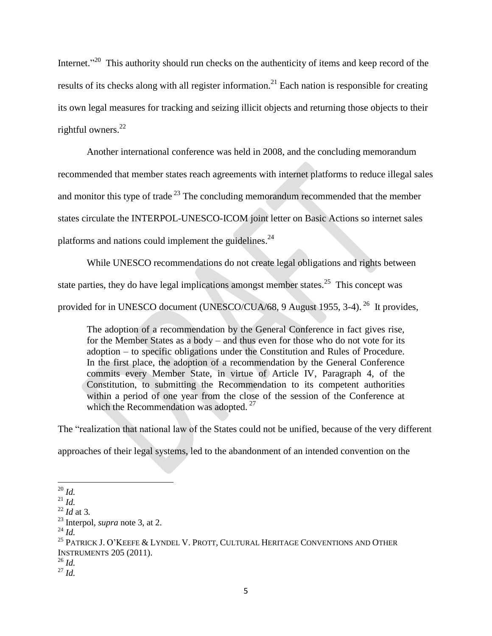Internet."<sup>20</sup> This authority should run checks on the authenticity of items and keep record of the results of its checks along with all register information.<sup>21</sup> Each nation is responsible for creating its own legal measures for tracking and seizing illicit objects and returning those objects to their rightful owners. $^{22}$ 

Another international conference was held in 2008, and the concluding memorandum recommended that member states reach agreements with internet platforms to reduce illegal sales and monitor this type of trade  $^{23}$  The concluding memorandum recommended that the member states circulate the INTERPOL-UNESCO-ICOM joint letter on Basic Actions so internet sales platforms and nations could implement the guidelines.<sup>24</sup>

While UNESCO recommendations do not create legal obligations and rights between state parties, they do have legal implications amongst member states.<sup>25</sup> This concept was provided for in UNESCO document (UNESCO/CUA/68, 9 August 1955, 3-4).<sup>26</sup> It provides,

The adoption of a recommendation by the General Conference in fact gives rise, for the Member States as a body – and thus even for those who do not vote for its adoption – to specific obligations under the Constitution and Rules of Procedure. In the first place, the adoption of a recommendation by the General Conference commits every Member State, in virtue of Article IV, Paragraph 4, of the Constitution, to submitting the Recommendation to its competent authorities within a period of one year from the close of the session of the Conference at which the Recommendation was adopted.  $27$ 

The "realization that national law of the States could not be unified, because of the very different approaches of their legal systems, led to the abandonment of an intended convention on the

 $\overline{\phantom{a}}$ <sup>20</sup> *Id.*

<sup>21</sup> *Id.*

 $^{22}$  *Id at 3.* 

<sup>23</sup> Interpol, *supra* note 3, at 2.

<sup>24</sup> *Id.*

 $^{25}$  Patrick J. O'Keefe & Lyndel V. Prott, Cultural Heritage Conventions and Other INSTRUMENTS 205 (2011).

<sup>26</sup> *Id.*

<sup>27</sup> *Id.*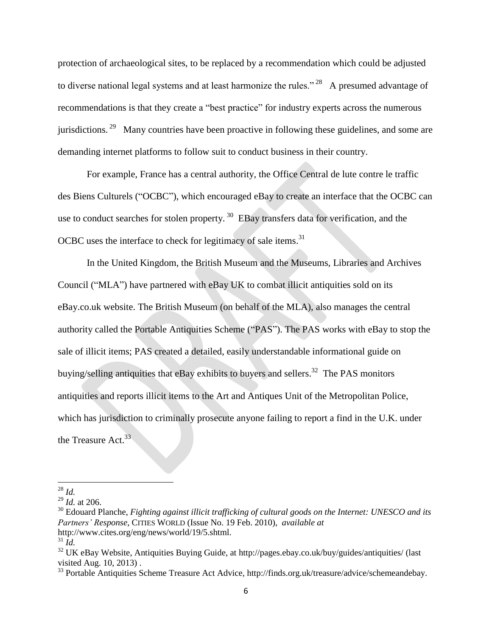protection of archaeological sites, to be replaced by a recommendation which could be adjusted to diverse national legal systems and at least harmonize the rules." <sup>28</sup> A presumed advantage of recommendations is that they create a "best practice" for industry experts across the numerous jurisdictions.<sup>29</sup> Many countries have been proactive in following these guidelines, and some are demanding internet platforms to follow suit to conduct business in their country.

For example, France has a central authority, the Office Central de lute contre le traffic des Biens Culturels ("OCBC"), which encouraged eBay to create an interface that the OCBC can use to conduct searches for stolen property.  $30$  EBay transfers data for verification, and the OCBC uses the interface to check for legitimacy of sale items.<sup>31</sup>

In the United Kingdom, the British Museum and the Museums, Libraries and Archives Council ("MLA") have partnered with eBay UK to combat illicit antiquities sold on its eBay.co.uk website. The British Museum (on behalf of the MLA), also manages the central authority called the Portable Antiquities Scheme ("PAS"). The PAS works with eBay to stop the sale of illicit items; PAS created a detailed, easily understandable informational guide on buying/selling antiquities that eBay exhibits to buyers and sellers.<sup>32</sup> The PAS monitors antiquities and reports illicit items to the Art and Antiques Unit of the Metropolitan Police, which has jurisdiction to criminally prosecute anyone failing to report a find in the U.K. under the Treasure Act.<sup>33</sup>

<sup>28</sup> *Id.*

<sup>29</sup> *Id.* at 206.

<sup>30</sup> Edouard Planche, *Fighting against illicit trafficking of cultural goods on the Internet: UNESCO and its Partners' Response*, CITIES WORLD (Issue No. 19 Feb. 2010), *available at*  http://www.cites.org/eng/news/world/19/5.shtml.

 $31$   $\overline{Id}$ .

<sup>&</sup>lt;sup>32</sup> UK eBay Website, Antiquities Buying Guide, at http://pages.ebay.co.uk/buy/guides/antiquities/ (last visited Aug. 10, 2013) .

<sup>33</sup> Portable Antiquities Scheme Treasure Act Advice, http://finds.org.uk/treasure/advice/schemeandebay.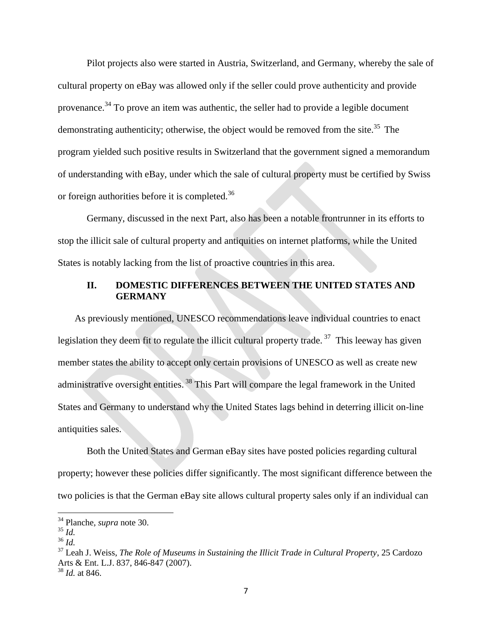Pilot projects also were started in Austria, Switzerland, and Germany, whereby the sale of cultural property on eBay was allowed only if the seller could prove authenticity and provide provenance.<sup>34</sup> To prove an item was authentic, the seller had to provide a legible document demonstrating authenticity; otherwise, the object would be removed from the site.<sup>35</sup> The program yielded such positive results in Switzerland that the government signed a memorandum of understanding with eBay, under which the sale of cultural property must be certified by Swiss or foreign authorities before it is completed.<sup>36</sup>

Germany, discussed in the next Part, also has been a notable frontrunner in its efforts to stop the illicit sale of cultural property and antiquities on internet platforms, while the United States is notably lacking from the list of proactive countries in this area.

## **II. DOMESTIC DIFFERENCES BETWEEN THE UNITED STATES AND GERMANY**

As previously mentioned, UNESCO recommendations leave individual countries to enact legislation they deem fit to regulate the illicit cultural property trade.<sup>37</sup> This leeway has given member states the ability to accept only certain provisions of UNESCO as well as create new administrative oversight entities.<sup>38</sup> This Part will compare the legal framework in the United States and Germany to understand why the United States lags behind in deterring illicit on-line antiquities sales.

Both the United States and German eBay sites have posted policies regarding cultural property; however these policies differ significantly. The most significant difference between the two policies is that the German eBay site allows cultural property sales only if an individual can

 $\overline{a}$ 

<sup>34</sup> Planche, *supra* note 30.

<sup>35</sup> *Id.*

<sup>36</sup> *Id.*

<sup>37</sup> Leah J. Weiss, *The Role of Museums in Sustaining the Illicit Trade in Cultural Property*, 25 Cardozo Arts & Ent. L.J. 837, 846-847 (2007).

<sup>38</sup> *Id.* at 846.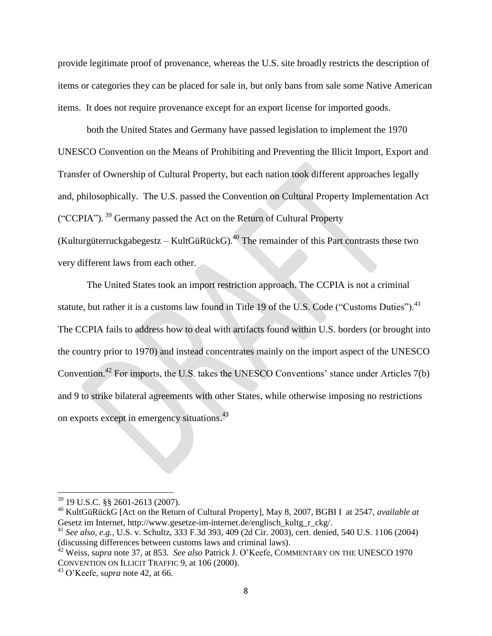provide legitimate proof of provenance, whereas the U.S. site broadly restricts the description of items or categories they can be placed for sale in, but only bans from sale some Native American items. It does not require provenance except for an export license for imported goods.

both the United States and Germany have passed legislation to implement the 1970 UNESCO Convention on the Means of Prohibiting and Preventing the Illicit Import, Export and Transfer of Ownership of Cultural Property, but each nation took different approaches legally and, philosophically. The U.S. passed the Convention on Cultural Property Implementation Act ("CCPIA").<sup>39</sup> Germany passed the Act on the Return of Cultural Property (Kulturgüterruckgabegestz – KultGüRückG).<sup>40</sup> The remainder of this Part contrasts these two very different laws from each other.

The United States took an import restriction approach. The CCPIA is not a criminal statute, but rather it is a customs law found in Title 19 of the U.S. Code ("Customs Duties").<sup>41</sup> The CCPIA fails to address how to deal with artifacts found within U.S. borders (or brought into the country prior to 1970) and instead concentrates mainly on the import aspect of the UNESCO Convention.<sup>42</sup> For imports, the U.S. takes the UNESCO Conventions' stance under Articles 7(b) and 9 to strike bilateral agreements with other States, while otherwise imposing no restrictions on exports except in emergency situations.<sup>43</sup>

<sup>39</sup> 19 U.S.C. §§ 2601-2613 (2007).

<sup>40</sup> KultGüRückG [Act on the Return of Cultural Property], May 8, 2007, BGBI I at 2547, *available at* Gesetz im Internet, http://www.gesetze-im-internet.de/englisch\_kultg\_r\_ckg/.

<sup>41</sup> *See also, e.g.,* U.S. v. Schultz, 333 F.3d 393, 409 (2d Cir. 2003), cert. denied, 540 U.S. 1106 (2004) (discussing differences between customs laws and criminal laws).

<sup>42</sup> Weiss, s*upra* note 37, at 853. *See also* Patrick J. O'Keefe, COMMENTARY ON THE UNESCO 1970 CONVENTION ON ILLICIT TRAFFIC 9, at 106 (2000).

<sup>43</sup> O'Keefe, s*upra* note 42, at 66.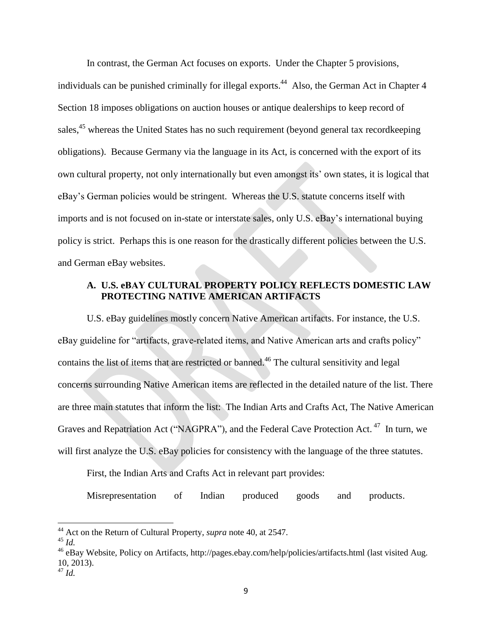In contrast, the German Act focuses on exports. Under the Chapter 5 provisions, individuals can be punished criminally for illegal exports.<sup>44</sup> Also, the German Act in Chapter 4 Section 18 imposes obligations on auction houses or antique dealerships to keep record of sales,<sup>45</sup> whereas the United States has no such requirement (beyond general tax recordkeeping obligations). Because Germany via the language in its Act, is concerned with the export of its own cultural property, not only internationally but even amongst its' own states, it is logical that eBay's German policies would be stringent. Whereas the U.S. statute concerns itself with imports and is not focused on in-state or interstate sales, only U.S. eBay's international buying policy is strict. Perhaps this is one reason for the drastically different policies between the U.S. and German eBay websites.

## **A. U.S. eBAY CULTURAL PROPERTY POLICY REFLECTS DOMESTIC LAW PROTECTING NATIVE AMERICAN ARTIFACTS**

U.S. eBay guidelines mostly concern Native American artifacts. For instance, the U.S. eBay guideline for "artifacts, grave-related items, and Native American arts and crafts policy" contains the list of items that are restricted or banned. <sup>46</sup> The cultural sensitivity and legal concerns surrounding Native American items are reflected in the detailed nature of the list. There are three main statutes that inform the list: The Indian Arts and Crafts Act, The Native American Graves and Repatriation Act ("NAGPRA"), and the Federal Cave Protection Act.<sup>47</sup> In turn, we will first analyze the U.S. eBay policies for consistency with the language of the three statutes.

First, the Indian Arts and Crafts Act in relevant part provides:

Misrepresentation of Indian produced goods and products.

<sup>44</sup> Act on the Return of Cultural Property, *supra* note 40, at 2547.

<sup>45</sup> *Id.*

 $^{46}$  eBay Website, Policy on Artifacts, http://pages.ebay.com/help/policies/artifacts.html (last visited Aug. 10, 2013).

<sup>47</sup> *Id.*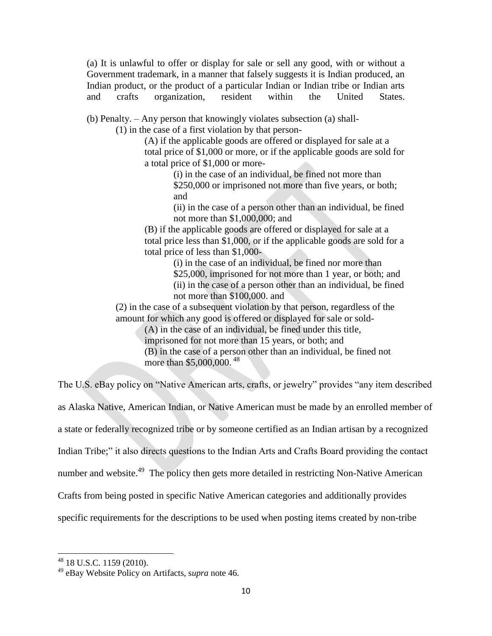(a) It is unlawful to offer or display for sale or sell any good, with or without a Government trademark, in a manner that falsely suggests it is Indian produced, an Indian product, or the product of a particular Indian or Indian tribe or Indian arts and crafts organization, resident within the United States.

(b) Penalty. – Any person that knowingly violates subsection (a) shall-

(1) in the case of a first violation by that person-

(A) if the applicable goods are offered or displayed for sale at a total price of \$1,000 or more, or if the applicable goods are sold for a total price of \$1,000 or more-

> (i) in the case of an individual, be fined not more than \$250,000 or imprisoned not more than five years, or both; and

(ii) in the case of a person other than an individual, be fined not more than \$1,000,000; and

(B) if the applicable goods are offered or displayed for sale at a total price less than \$1,000, or if the applicable goods are sold for a total price of less than \$1,000-

> (i) in the case of an individual, be fined nor more than \$25,000, imprisoned for not more than 1 year, or both; and (ii) in the case of a person other than an individual, be fined not more than \$100,000. and

(2) in the case of a subsequent violation by that person, regardless of the amount for which any good is offered or displayed for sale or sold-

(A) in the case of an individual, be fined under this title,

imprisoned for not more than 15 years, or both; and

(B) in the case of a person other than an individual, be fined not more than \$5,000,000.<sup>48</sup>

The U.S. eBay policy on "Native American arts, crafts, or jewelry" provides "any item described as Alaska Native, American Indian, or Native American must be made by an enrolled member of a state or federally recognized tribe or by someone certified as an Indian artisan by a recognized Indian Tribe;" it also directs questions to the Indian Arts and Crafts Board providing the contact number and website.<sup>49</sup> The policy then gets more detailed in restricting Non-Native American Crafts from being posted in specific Native American categories and additionally provides specific requirements for the descriptions to be used when posting items created by non-tribe

<sup>&</sup>lt;sup>48</sup> 18 U.S.C. 1159 (2010).

<sup>49</sup> eBay Website Policy on Artifacts, s*upra* note 46.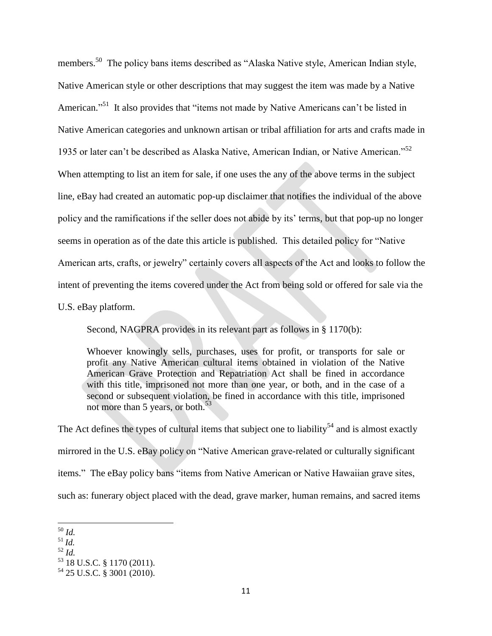members.<sup>50</sup> The policy bans items described as "Alaska Native style, American Indian style, Native American style or other descriptions that may suggest the item was made by a Native American."<sup>51</sup> It also provides that "items not made by Native Americans can't be listed in Native American categories and unknown artisan or tribal affiliation for arts and crafts made in 1935 or later can't be described as Alaska Native, American Indian, or Native American."<sup>52</sup> When attempting to list an item for sale, if one uses the any of the above terms in the subject line, eBay had created an automatic pop-up disclaimer that notifies the individual of the above policy and the ramifications if the seller does not abide by its' terms, but that pop-up no longer seems in operation as of the date this article is published. This detailed policy for "Native American arts, crafts, or jewelry" certainly covers all aspects of the Act and looks to follow the intent of preventing the items covered under the Act from being sold or offered for sale via the

U.S. eBay platform.

Second, NAGPRA provides in its relevant part as follows in § 1170(b):

Whoever knowingly sells, purchases, uses for profit, or transports for sale or profit any Native American cultural items obtained in violation of the Native American Grave Protection and Repatriation Act shall be fined in accordance with this title, imprisoned not more than one year, or both, and in the case of a second or subsequent violation, be fined in accordance with this title, imprisoned not more than 5 years, or both.<sup>53</sup>

The Act defines the types of cultural items that subject one to liability<sup>54</sup> and is almost exactly mirrored in the U.S. eBay policy on "Native American grave-related or culturally significant items." The eBay policy bans "items from Native American or Native Hawaiian grave sites, such as: funerary object placed with the dead, grave marker, human remains, and sacred items

<sup>50</sup> *Id.*

<sup>51</sup> *Id.*

<sup>52</sup> *Id.*

<sup>53</sup> 18 U.S.C. § 1170 (2011).

<sup>54</sup> 25 U.S.C. § 3001 (2010).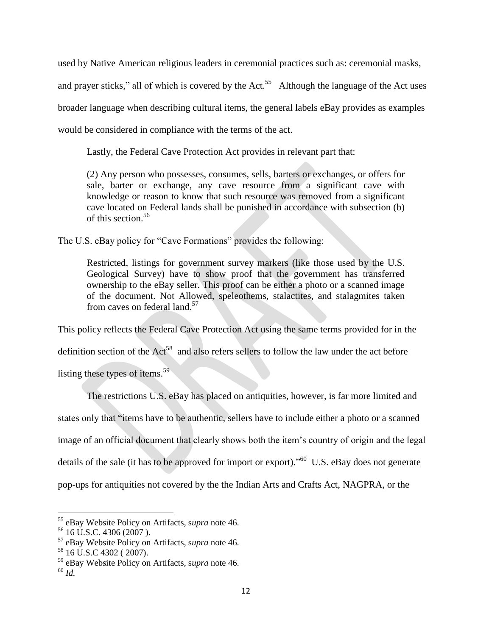used by Native American religious leaders in ceremonial practices such as: ceremonial masks,

and prayer sticks," all of which is covered by the  $Act.^{55}$  Although the language of the Act uses broader language when describing cultural items, the general labels eBay provides as examples would be considered in compliance with the terms of the act.

Lastly, the Federal Cave Protection Act provides in relevant part that:

(2) Any person who possesses, consumes, sells, barters or exchanges, or offers for sale, barter or exchange, any cave resource from a significant cave with knowledge or reason to know that such resource was removed from a significant cave located on Federal lands shall be punished in accordance with subsection (b) of this section.<sup>56</sup>

The U.S. eBay policy for "Cave Formations" provides the following:

Restricted, listings for government survey markers (like those used by the U.S. Geological Survey) have to show proof that the government has transferred ownership to the eBay seller. This proof can be either a photo or a scanned image of the document. Not Allowed, speleothems, stalactites, and stalagmites taken from caves on federal land.<sup>57</sup>

This policy reflects the Federal Cave Protection Act using the same terms provided for in the definition section of the  $Act^{58}$  and also refers sellers to follow the law under the act before

listing these types of items.<sup>59</sup>

The restrictions U.S. eBay has placed on antiquities, however, is far more limited and states only that "items have to be authentic, sellers have to include either a photo or a scanned image of an official document that clearly shows both the item's country of origin and the legal details of the sale (it has to be approved for import or export)."<sup>60</sup> U.S. eBay does not generate pop-ups for antiquities not covered by the the Indian Arts and Crafts Act, NAGPRA, or the

 $\overline{a}$ 

<sup>55</sup> eBay Website Policy on Artifacts, s*upra* note 46.

 $56$  16 U.S.C. 4306 (2007).

<sup>57</sup> eBay Website Policy on Artifacts, s*upra* note 46.

<sup>58</sup> 16 U.S.C 4302 ( 2007).

<sup>59</sup> eBay Website Policy on Artifacts, s*upra* note 46.

<sup>60</sup> *Id.*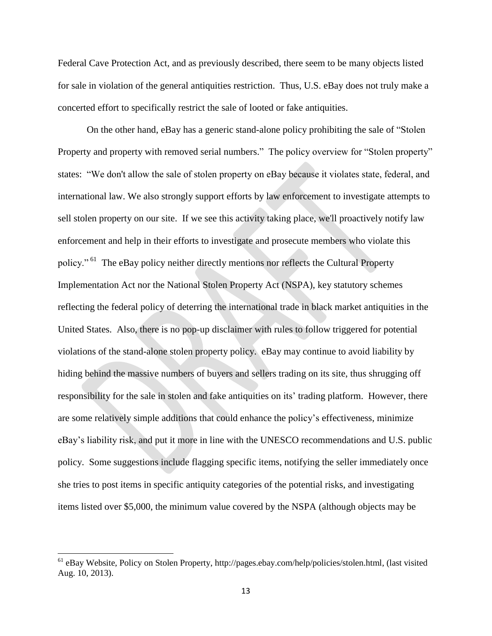Federal Cave Protection Act, and as previously described, there seem to be many objects listed for sale in violation of the general antiquities restriction. Thus, U.S. eBay does not truly make a concerted effort to specifically restrict the sale of looted or fake antiquities.

On the other hand, eBay has a generic stand-alone policy prohibiting the sale of "Stolen Property and property with removed serial numbers." The policy overview for "Stolen property" states: "We don't allow the sale of stolen property on eBay because it violates state, federal, and international law. We also strongly support efforts by law enforcement to investigate attempts to sell stolen property on our site. If we see this activity taking place, we'll proactively notify law enforcement and help in their efforts to investigate and prosecute members who violate this policy." <sup>61</sup> The eBay policy neither directly mentions nor reflects the Cultural Property Implementation Act nor the National Stolen Property Act (NSPA), key statutory schemes reflecting the federal policy of deterring the international trade in black market antiquities in the United States. Also, there is no pop-up disclaimer with rules to follow triggered for potential violations of the stand-alone stolen property policy. eBay may continue to avoid liability by hiding behind the massive numbers of buyers and sellers trading on its site, thus shrugging off responsibility for the sale in stolen and fake antiquities on its' trading platform. However, there are some relatively simple additions that could enhance the policy's effectiveness, minimize eBay's liability risk, and put it more in line with the UNESCO recommendations and U.S. public policy. Some suggestions include flagging specific items, notifying the seller immediately once she tries to post items in specific antiquity categories of the potential risks, and investigating items listed over \$5,000, the minimum value covered by the NSPA (although objects may be

<sup>&</sup>lt;sup>61</sup> eBay Website, Policy on Stolen Property, http://pages.ebay.com/help/policies/stolen.html, (last visited Aug. 10, 2013).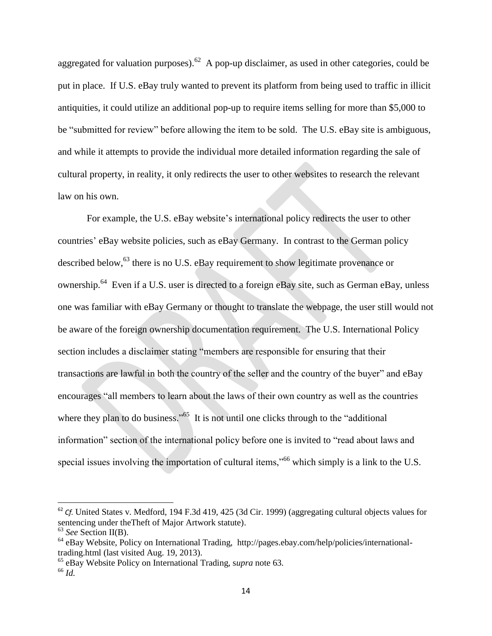aggregated for valuation purposes).<sup>62</sup> A pop-up disclaimer, as used in other categories, could be put in place. If U.S. eBay truly wanted to prevent its platform from being used to traffic in illicit antiquities, it could utilize an additional pop-up to require items selling for more than \$5,000 to be "submitted for review" before allowing the item to be sold. The U.S. eBay site is ambiguous, and while it attempts to provide the individual more detailed information regarding the sale of cultural property, in reality, it only redirects the user to other websites to research the relevant law on his own.

For example, the U.S. eBay website's international policy redirects the user to other countries' eBay website policies, such as eBay Germany. In contrast to the German policy described below,<sup>63</sup> there is no U.S. eBay requirement to show legitimate provenance or ownership.<sup>64</sup> Even if a U.S. user is directed to a foreign eBay site, such as German eBay, unless one was familiar with eBay Germany or thought to translate the webpage, the user still would not be aware of the foreign ownership documentation requirement. The U.S. International Policy section includes a disclaimer stating "members are responsible for ensuring that their transactions are lawful in both the country of the seller and the country of the buyer" and eBay encourages "all members to learn about the laws of their own country as well as the countries where they plan to do business."<sup>65</sup> It is not until one clicks through to the "additional" information" section of the international policy before one is invited to "read about laws and special issues involving the importation of cultural items,"<sup>66</sup> which simply is a link to the U.S.

<sup>&</sup>lt;sup>62</sup> *Cf.* United States v. Medford, 194 F.3d 419, 425 (3d Cir. 1999) (aggregating cultural objects values for sentencing under theTheft of Major Artwork statute).

<sup>63</sup> *See* Section II(B).

 $^{64}$  eBay Website, Policy on International Trading, http://pages.ebay.com/help/policies/internationaltrading.html (last visited Aug. 19, 2013).

<sup>65</sup> eBay Website Policy on International Trading, s*upra* note 63.

<sup>66</sup> *Id.*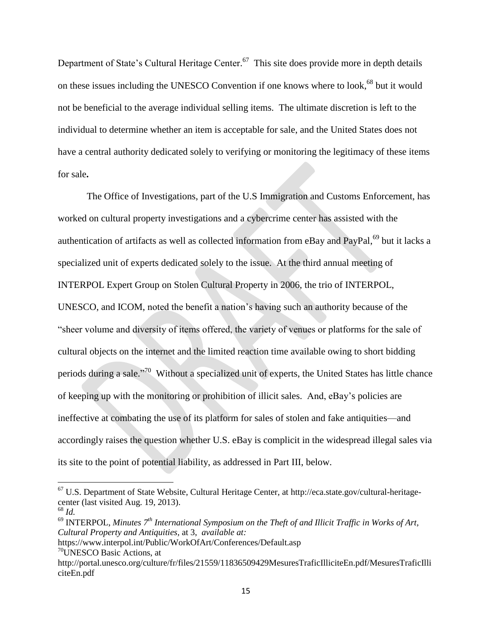Department of State's Cultural Heritage Center.<sup>67</sup> This site does provide more in depth details on these issues including the UNESCO Convention if one knows where to look,<sup>68</sup> but it would not be beneficial to the average individual selling items. The ultimate discretion is left to the individual to determine whether an item is acceptable for sale, and the United States does not have a central authority dedicated solely to verifying or monitoring the legitimacy of these items for sale**.** 

The Office of Investigations, part of the U.S Immigration and Customs Enforcement, has worked on cultural property investigations and a cybercrime center has assisted with the authentication of artifacts as well as collected information from eBay and PayPal,<sup>69</sup> but it lacks a specialized unit of experts dedicated solely to the issue. At the third annual meeting of INTERPOL Expert Group on Stolen Cultural Property in 2006, the trio of INTERPOL, UNESCO, and ICOM, noted the benefit a nation's having such an authority because of the "sheer volume and diversity of items offered, the variety of venues or platforms for the sale of cultural objects on the internet and the limited reaction time available owing to short bidding periods during a sale."<sup>70</sup> Without a specialized unit of experts, the United States has little chance of keeping up with the monitoring or prohibition of illicit sales. And, eBay's policies are ineffective at combating the use of its platform for sales of stolen and fake antiquities—and accordingly raises the question whether U.S. eBay is complicit in the widespread illegal sales via its site to the point of potential liability, as addressed in Part III, below.

<sup>67</sup> U.S. Department of State Website, Cultural Heritage Center, at http://eca.state.gov/cultural-heritagecenter (last visited Aug. 19, 2013).

 $^{68}$  *Id.* 

<sup>&</sup>lt;sup>69</sup> INTERPOL, *Minutes 7<sup>th</sup> International Symposium on the Theft of and Illicit Traffic in Works of Art, Cultural Property and Antiquities,* at 3, *available at:*

https://www.interpol.int/Public/WorkOfArt/Conferences/Default.asp <sup>70</sup>UNESCO Basic Actions, at

http://portal.unesco.org/culture/fr/files/21559/11836509429MesuresTraficIlliciteEn.pdf/MesuresTraficIlli citeEn.pdf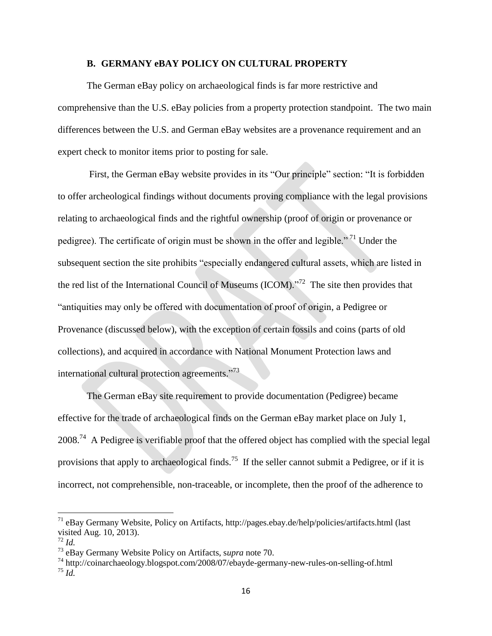#### **B. GERMANY eBAY POLICY ON CULTURAL PROPERTY**

The German eBay policy on archaeological finds is far more restrictive and comprehensive than the U.S. eBay policies from a property protection standpoint. The two main differences between the U.S. and German eBay websites are a provenance requirement and an expert check to monitor items prior to posting for sale.

First, the German eBay website provides in its "Our principle" section: "It is forbidden to offer archeological findings without documents proving compliance with the legal provisions relating to archaeological finds and the rightful ownership (proof of origin or provenance or pedigree). The certificate of origin must be shown in the offer and legible."<sup>71</sup> Under the subsequent section the site prohibits "especially endangered cultural assets, which are listed in the red list of the International Council of Museums (ICOM). $\frac{1}{2}$  The site then provides that "antiquities may only be offered with documentation of proof of origin, a Pedigree or Provenance (discussed below), with the exception of certain fossils and coins (parts of old collections), and acquired in accordance with National Monument Protection laws and international cultural protection agreements."<sup>73</sup>

The German eBay site requirement to provide documentation (Pedigree) became effective for the trade of archaeological finds on the German eBay market place on July 1,  $2008<sup>74</sup>$  A Pedigree is verifiable proof that the offered object has complied with the special legal provisions that apply to archaeological finds.<sup>75</sup> If the seller cannot submit a Pedigree, or if it is incorrect, not comprehensible, non-traceable, or incomplete, then the proof of the adherence to

 $\overline{a}$ 

 $71$  eBay Germany Website, Policy on Artifacts, http://pages.ebay.de/help/policies/artifacts.html (last visited Aug. 10, 2013).

<sup>72</sup> *Id.*

<sup>73</sup> eBay Germany Website Policy on Artifacts, s*upra* note 70.

<sup>74</sup> http://coinarchaeology.blogspot.com/2008/07/ebayde-germany-new-rules-on-selling-of.html <sup>75</sup> *Id.*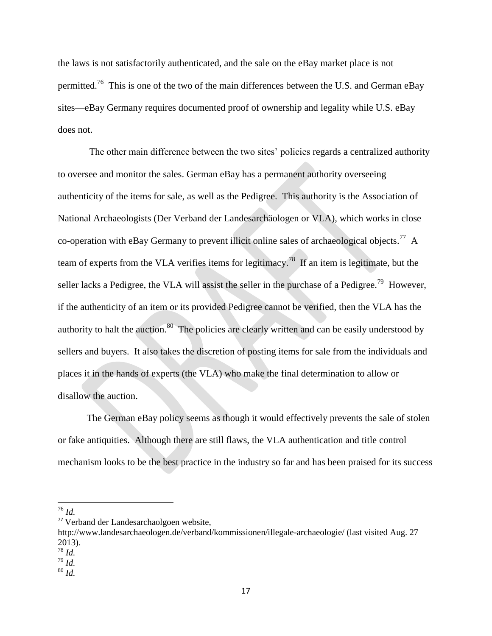the laws is not satisfactorily authenticated, and the sale on the eBay market place is not permitted.<sup>76</sup> This is one of the two of the main differences between the U.S. and German eBay sites—eBay Germany requires documented proof of ownership and legality while U.S. eBay does not.

The other main difference between the two sites' policies regards a centralized authority to oversee and monitor the sales. German eBay has a permanent authority overseeing authenticity of the items for sale, as well as the Pedigree. This authority is the Association of National Archaeologists (Der Verband der Landesarchäologen or VLA), which works in close co-operation with eBay Germany to prevent illicit online sales of archaeological objects.<sup>77</sup> A team of experts from the VLA verifies items for legitimacy.<sup>78</sup> If an item is legitimate, but the seller lacks a Pedigree, the VLA will assist the seller in the purchase of a Pedigree.<sup>79</sup> However, if the authenticity of an item or its provided Pedigree cannot be verified, then the VLA has the authority to halt the auction. $80$  The policies are clearly written and can be easily understood by sellers and buyers. It also takes the discretion of posting items for sale from the individuals and places it in the hands of experts (the VLA) who make the final determination to allow or disallow the auction.

The German eBay policy seems as though it would effectively prevents the sale of stolen or fake antiquities. Although there are still flaws, the VLA authentication and title control mechanism looks to be the best practice in the industry so far and has been praised for its success

<sup>76</sup> *Id.*

 $\overline{\phantom{a}}$ 

 $^{80}\,Id.$ 

<sup>77</sup> Verband der Landesarchaolgoen website,

http://www.landesarchaeologen.de/verband/kommissionen/illegale-archaeologie/ (last visited Aug. 27 2013).

<sup>78</sup> *Id.*

<sup>79</sup> *Id.*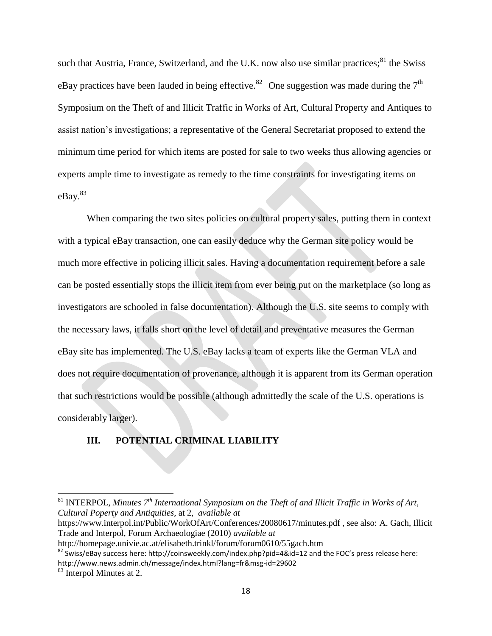such that Austria, France, Switzerland, and the U.K. now also use similar practices;<sup>81</sup> the Swiss eBay practices have been lauded in being effective.<sup>82</sup> One suggestion was made during the  $7<sup>th</sup>$ Symposium on the Theft of and Illicit Traffic in Works of Art, Cultural Property and Antiques to assist nation's investigations; a representative of the General Secretariat proposed to extend the minimum time period for which items are posted for sale to two weeks thus allowing agencies or experts ample time to investigate as remedy to the time constraints for investigating items on eBay.<sup>83</sup>

When comparing the two sites policies on cultural property sales, putting them in context with a typical eBay transaction, one can easily deduce why the German site policy would be much more effective in policing illicit sales. Having a documentation requirement before a sale can be posted essentially stops the illicit item from ever being put on the marketplace (so long as investigators are schooled in false documentation). Although the U.S. site seems to comply with the necessary laws, it falls short on the level of detail and preventative measures the German eBay site has implemented. The U.S. eBay lacks a team of experts like the German VLA and does not require documentation of provenance, although it is apparent from its German operation that such restrictions would be possible (although admittedly the scale of the U.S. operations is considerably larger).

## **III. POTENTIAL CRIMINAL LIABILITY**

https://www.interpol.int/Public/WorkOfArt/Conferences/20080617/minutes.pdf , see also: A. Gach, Illicit Trade and Interpol, Forum Archaeologiae (2010) *available at*

<sup>81</sup> INTERPOL, *Minutes 7th International Symposium on the Theft of and Illicit Traffic in Works of Art, Cultural Poperty and Antiquities,* at 2, *available at*

http://homepage.univie.ac.at/elisabeth.trinkl/forum/forum0610/55gach.htm

 $82$  Swiss/eBay success here: http://coinsweekly.com/index.php?pid=4&id=12 and the FOC's press release here: http://www.news.admin.ch/message/index.html?lang=fr&msg-id=29602

<sup>&</sup>lt;sup>83</sup> Interpol Minutes at 2.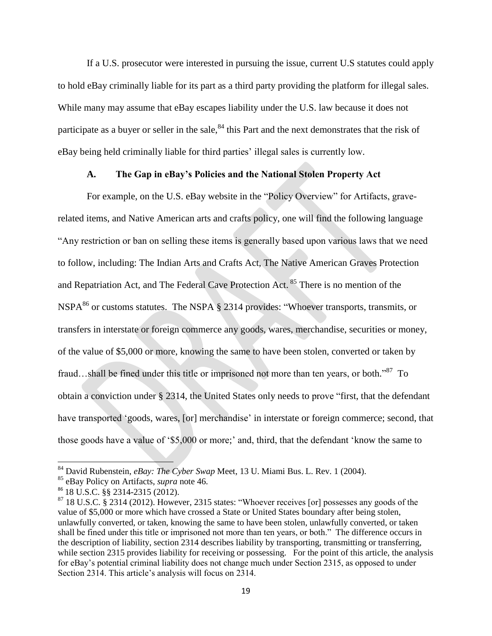If a U.S. prosecutor were interested in pursuing the issue, current U.S statutes could apply to hold eBay criminally liable for its part as a third party providing the platform for illegal sales. While many may assume that eBay escapes liability under the U.S. law because it does not participate as a buyer or seller in the sale,<sup>84</sup> this Part and the next demonstrates that the risk of eBay being held criminally liable for third parties' illegal sales is currently low.

### **A. The Gap in eBay's Policies and the National Stolen Property Act**

For example, on the U.S. eBay website in the "Policy Overview" for Artifacts, graverelated items, and Native American arts and crafts policy, one will find the following language "Any restriction or ban on selling these items is generally based upon various laws that we need to follow, including: The Indian Arts and Crafts Act, The Native American Graves Protection and Repatriation Act, and The Federal Cave Protection Act. <sup>85</sup> There is no mention of the NSPA $^{86}$  or customs statutes. The NSPA § 2314 provides: "Whoever transports, transmits, or transfers in interstate or foreign commerce any goods, wares, merchandise, securities or money, of the value of \$5,000 or more, knowing the same to have been stolen, converted or taken by fraud...shall be fined under this title or imprisoned not more than ten years, or both."<sup>87</sup> To obtain a conviction under § 2314, the United States only needs to prove "first, that the defendant have transported 'goods, wares, [or] merchandise' in interstate or foreign commerce; second, that those goods have a value of '\$5,000 or more;' and, third, that the defendant 'know the same to

l

<sup>84</sup> David Rubenstein, *eBay: The Cyber Swap* Meet, 13 U. Miami Bus. L. Rev. 1 (2004).

<sup>85</sup> eBay Policy on Artifacts, *supra* note 46.

<sup>86</sup> 18 U.S.C. §§ 2314-2315 (2012).

<sup>&</sup>lt;sup>87</sup> 18 U.S.C. § 2314 (2012). However, 2315 states: "Whoever receives [or] possesses any goods of the value of \$5,000 or more which have crossed a State or United States boundary after being stolen, unlawfully converted, or taken, knowing the same to have been stolen, unlawfully converted, or taken shall be fined under this title or imprisoned not more than ten years, or both." The difference occurs in the description of liability, section 2314 describes liability by transporting, transmitting or transferring, while section 2315 provides liability for receiving or possessing. For the point of this article, the analysis for eBay's potential criminal liability does not change much under Section 2315, as opposed to under Section 2314. This article's analysis will focus on 2314.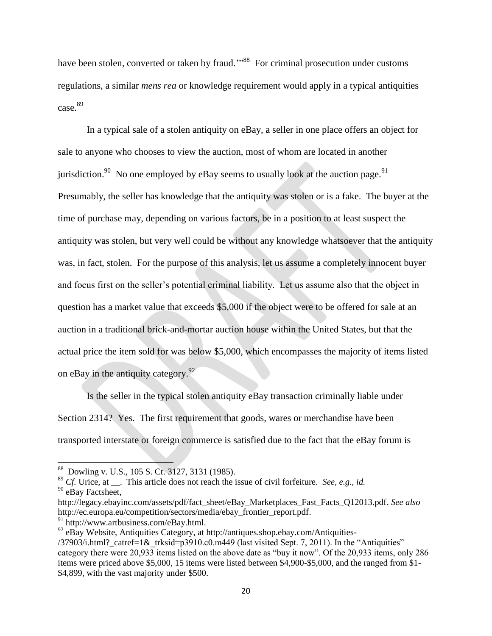have been stolen, converted or taken by fraud."<sup>88</sup> For criminal prosecution under customs regulations, a similar *mens rea* or knowledge requirement would apply in a typical antiquities case.<sup>89</sup>

In a typical sale of a stolen antiquity on eBay, a seller in one place offers an object for sale to anyone who chooses to view the auction, most of whom are located in another jurisdiction.<sup>90</sup> No one employed by eBay seems to usually look at the auction page.<sup>91</sup> Presumably, the seller has knowledge that the antiquity was stolen or is a fake. The buyer at the time of purchase may, depending on various factors, be in a position to at least suspect the antiquity was stolen, but very well could be without any knowledge whatsoever that the antiquity was, in fact, stolen. For the purpose of this analysis, let us assume a completely innocent buyer and focus first on the seller's potential criminal liability. Let us assume also that the object in question has a market value that exceeds \$5,000 if the object were to be offered for sale at an auction in a traditional brick-and-mortar auction house within the United States, but that the actual price the item sold for was below \$5,000, which encompasses the majority of items listed on eBay in the antiquity category. $^{92}$ 

Is the seller in the typical stolen antiquity eBay transaction criminally liable under Section 2314? Yes. The first requirement that goods, wares or merchandise have been transported interstate or foreign commerce is satisfied due to the fact that the eBay forum is

<sup>89</sup> *Cf.* Urice, at . This article does not reach the issue of civil forfeiture. *See, e.g., id.* <sup>90</sup> eBay Factsheet,

l

<sup>88</sup> Dowling v. U.S., 105 S. Ct. 3127, 3131 (1985).

http://legacy.ebayinc.com/assets/pdf/fact\_sheet/eBay\_Marketplaces\_Fast\_Facts\_Q12013.pdf. *See also*  http://ec.europa.eu/competition/sectors/media/ebay\_frontier\_report.pdf.

<sup>91</sup> http://www.artbusiness.com/eBay.html.

<sup>92</sup> eBay Website, Antiquities Category, at http://antiques.shop.ebay.com/Antiquities-

<sup>/37903/</sup>i.html? catref=1& trksid=p3910.c0.m449 (last visited Sept. 7, 2011). In the "Antiquities" category there were 20,933 items listed on the above date as "buy it now". Of the 20,933 items, only 286 items were priced above \$5,000, 15 items were listed between \$4,900-\$5,000, and the ranged from \$1- \$4,899, with the vast majority under \$500.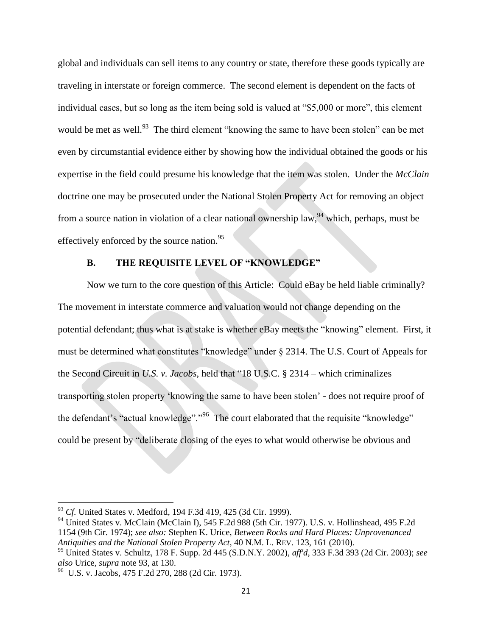global and individuals can sell items to any country or state, therefore these goods typically are traveling in interstate or foreign commerce. The second element is dependent on the facts of individual cases, but so long as the item being sold is valued at "\$5,000 or more", this element would be met as well.<sup>93</sup> The third element "knowing the same to have been stolen" can be met even by circumstantial evidence either by showing how the individual obtained the goods or his expertise in the field could presume his knowledge that the item was stolen. Under the *McClain* doctrine one may be prosecuted under the National Stolen Property Act for removing an object from a source nation in violation of a clear national ownership law, <sup>94</sup> which, perhaps, must be effectively enforced by the source nation.<sup>95</sup>

## **B. THE REQUISITE LEVEL OF "KNOWLEDGE"**

Now we turn to the core question of this Article: Could eBay be held liable criminally? The movement in interstate commerce and valuation would not change depending on the potential defendant; thus what is at stake is whether eBay meets the "knowing" element. First, it must be determined what constitutes "knowledge" under § 2314. The U.S. Court of Appeals for the Second Circuit in *U.S. v. Jacobs*, held that "18 U.S.C. § 2314 – which criminalizes transporting stolen property 'knowing the same to have been stolen' - does not require proof of the defendant's "actual knowledge"."<sup>96</sup> The court elaborated that the requisite "knowledge" could be present by "deliberate closing of the eyes to what would otherwise be obvious and

 $\overline{a}$ 

<sup>93</sup> *Cf.* United States v. Medford, 194 F.3d 419, 425 (3d Cir. 1999).

<sup>&</sup>lt;sup>94</sup> United States v. McClain (McClain I), 545 F.2d 988 (5th Cir. 1977). U.S. v. Hollinshead, 495 F.2d 1154 (9th Cir. 1974); *see also:* Stephen K. Urice, *Between Rocks and Hard Places: Unprovenanced Antiquities and the National Stolen Property Act*, 40 N.M. L. REV. 123, 161 (2010).

<sup>95</sup> United States v. Schultz, 178 F. Supp. 2d 445 (S.D.N.Y. 2002), *aff'd*, 333 F.3d 393 (2d Cir. 2003); *see also* Urice*, supra* note 93, at 130.

<sup>96</sup> U.S. v. Jacobs, 475 F.2d 270, 288 (2d Cir. 1973).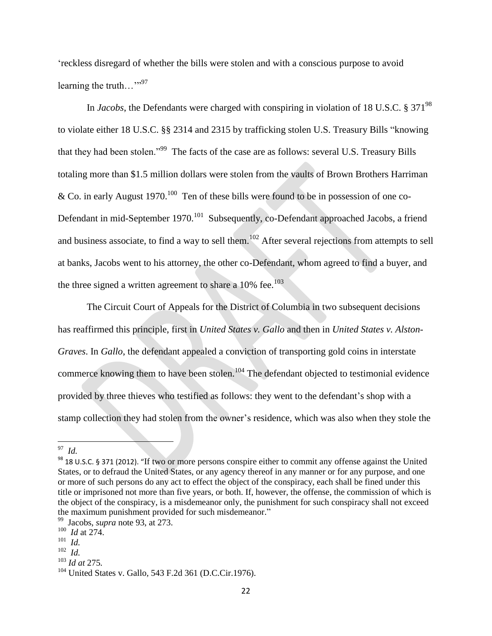'reckless disregard of whether the bills were stolen and with a conscious purpose to avoid learning the truth..."<sup>97</sup>

In *Jacobs*, the Defendants were charged with conspiring in violation of 18 U.S.C. § 371<sup>98</sup> to violate either 18 U.S.C. §§ 2314 and 2315 by trafficking stolen U.S. Treasury Bills "knowing that they had been stolen."<sup>99</sup> The facts of the case are as follows: several U.S. Treasury Bills totaling more than \$1.5 million dollars were stolen from the vaults of Brown Brothers Harriman & Co. in early August  $1970^{100}$  Ten of these bills were found to be in possession of one co-Defendant in mid-September 1970.<sup>101</sup> Subsequently, co-Defendant approached Jacobs, a friend and business associate, to find a way to sell them.<sup>102</sup> After several rejections from attempts to sell at banks, Jacobs went to his attorney, the other co-Defendant, whom agreed to find a buyer, and the three signed a written agreement to share a  $10\%$  fee.<sup>103</sup>

The Circuit Court of Appeals for the District of Columbia in two subsequent decisions has reaffirmed this principle, first in *United States v. Gallo* and then in *United States v. Alston-Graves*. In *Gallo*, the defendant appealed a conviction of transporting gold coins in interstate commerce knowing them to have been stolen.<sup>104</sup> The defendant objected to testimonial evidence provided by three thieves who testified as follows: they went to the defendant's shop with a stamp collection they had stolen from the owner's residence, which was also when they stole the

 97 *Id.*

<sup>98</sup> 18 U.S.C. § 371 (2012). "If two or more persons conspire either to commit any offense against the United States, or to defraud the United States, or any agency thereof in any manner or for any purpose, and one or more of such persons do any act to effect the object of the conspiracy, each shall be fined under this title or imprisoned not more than five years, or both. If, however, the offense, the commission of which is the object of the conspiracy, is a misdemeanor only, the punishment for such conspiracy shall not exceed the maximum punishment provided for such misdemeanor."

<sup>99</sup> Jacobs, *supra* note 93, at 273.

<sup>100</sup> *Id* at 274.

<sup>101</sup> *Id.* 

<sup>102</sup> *Id.* 

<sup>103</sup> *Id at* 275*.* 

<sup>104</sup> United States v. Gallo*,* 543 F.2d 361 (D.C.Cir.1976).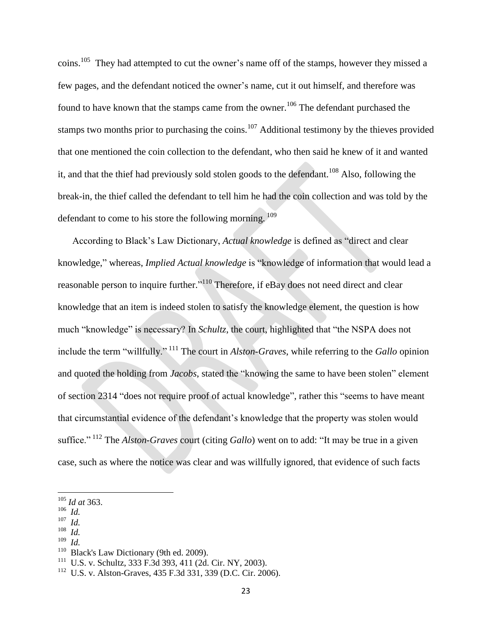coins.<sup>105</sup> They had attempted to cut the owner's name off of the stamps, however they missed a few pages, and the defendant noticed the owner's name, cut it out himself, and therefore was found to have known that the stamps came from the owner.<sup>106</sup> The defendant purchased the stamps two months prior to purchasing the coins.<sup>107</sup> Additional testimony by the thieves provided that one mentioned the coin collection to the defendant, who then said he knew of it and wanted it, and that the thief had previously sold stolen goods to the defendant.<sup>108</sup> Also, following the break-in, the thief called the defendant to tell him he had the coin collection and was told by the defendant to come to his store the following morning. <sup>109</sup>

According to Black's Law Dictionary, *Actual knowledge* is defined as "direct and clear knowledge," whereas, *Implied Actual knowledge* is "knowledge of information that would lead a reasonable person to inquire further."<sup>110</sup> Therefore, if eBay does not need direct and clear knowledge that an item is indeed stolen to satisfy the knowledge element, the question is how much "knowledge" is necessary? In *Schultz*, the court, highlighted that "the NSPA does not include the term "willfully." <sup>111</sup> The court in *Alston-Graves*, while referring to the *Gallo* opinion and quoted the holding from *Jacobs*, stated the "knowing the same to have been stolen" element of section 2314 "does not require proof of actual knowledge", rather this "seems to have meant that circumstantial evidence of the defendant's knowledge that the property was stolen would suffice." <sup>112</sup> The *Alston-Graves* court (citing *Gallo*) went on to add: "It may be true in a given case, such as where the notice was clear and was willfully ignored, that evidence of such facts

- 107 *Id.* 108
- *Id.* 109
- *Id.*

<sup>105</sup> *Id at* 363.

<sup>106</sup> *Id.*

<sup>110</sup> Black's Law Dictionary (9th ed. 2009).

<sup>111</sup> U.S. v. Schultz, 333 F.3d 393, 411 (2d. Cir. NY, 2003).

<sup>112</sup> U.S. v. Alston-Graves, 435 F.3d 331, 339 (D.C. Cir. 2006).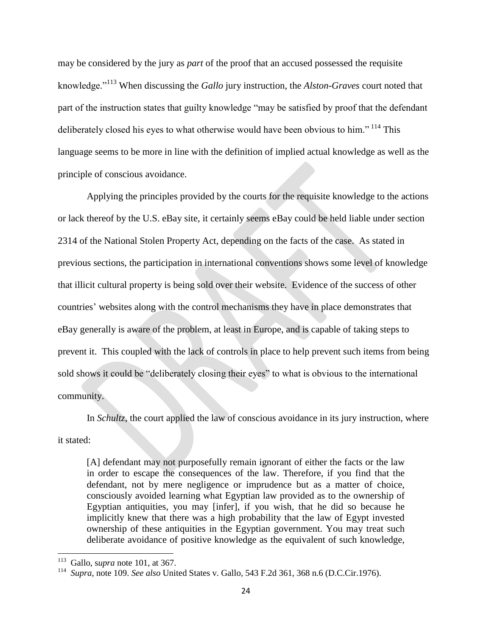may be considered by the jury as *part* of the proof that an accused possessed the requisite knowledge."<sup>113</sup> When discussing the *Gallo* jury instruction, the *Alston-Graves* court noted that part of the instruction states that guilty knowledge "may be satisfied by proof that the defendant deliberately closed his eyes to what otherwise would have been obvious to him."<sup>114</sup> This language seems to be more in line with the definition of implied actual knowledge as well as the principle of conscious avoidance.

Applying the principles provided by the courts for the requisite knowledge to the actions or lack thereof by the U.S. eBay site, it certainly seems eBay could be held liable under section 2314 of the National Stolen Property Act, depending on the facts of the case. As stated in previous sections, the participation in international conventions shows some level of knowledge that illicit cultural property is being sold over their website. Evidence of the success of other countries' websites along with the control mechanisms they have in place demonstrates that eBay generally is aware of the problem, at least in Europe, and is capable of taking steps to prevent it. This coupled with the lack of controls in place to help prevent such items from being sold shows it could be "deliberately closing their eyes" to what is obvious to the international community.

In *Schultz*, the court applied the law of conscious avoidance in its jury instruction, where it stated:

[A] defendant may not purposefully remain ignorant of either the facts or the law in order to escape the consequences of the law. Therefore, if you find that the defendant, not by mere negligence or imprudence but as a matter of choice, consciously avoided learning what Egyptian law provided as to the ownership of Egyptian antiquities, you may [infer], if you wish, that he did so because he implicitly knew that there was a high probability that the law of Egypt invested ownership of these antiquities in the Egyptian government. You may treat such deliberate avoidance of positive knowledge as the equivalent of such knowledge,

 113 Gallo, s*upra* note 101, at 367.

<sup>114</sup> *Supra*, note 109. *See also* United States v. Gallo*,* 543 F.2d 361, 368 n.6 (D.C.Cir.1976).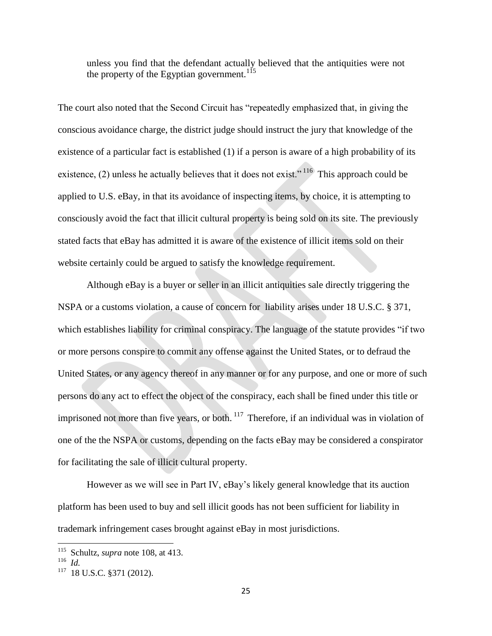unless you find that the defendant actually believed that the antiquities were not the property of the Egyptian government.<sup>115</sup>

The court also noted that the Second Circuit has "repeatedly emphasized that, in giving the conscious avoidance charge, the district judge should instruct the jury that knowledge of the existence of a particular fact is established (1) if a person is aware of a high probability of its existence, (2) unless he actually believes that it does not exist."<sup>116</sup> This approach could be applied to U.S. eBay, in that its avoidance of inspecting items, by choice, it is attempting to consciously avoid the fact that illicit cultural property is being sold on its site. The previously stated facts that eBay has admitted it is aware of the existence of illicit items sold on their website certainly could be argued to satisfy the knowledge requirement.

Although eBay is a buyer or seller in an illicit antiquities sale directly triggering the NSPA or a customs violation, a cause of concern for liability arises under 18 U.S.C. § 371, which establishes liability for criminal conspiracy. The language of the statute provides "if two or more persons conspire to commit any offense against the United States, or to defraud the United States, or any agency thereof in any manner or for any purpose, and one or more of such persons do any act to effect the object of the conspiracy, each shall be fined under this title or imprisoned not more than five years, or both.  $117$  Therefore, if an individual was in violation of one of the the NSPA or customs, depending on the facts eBay may be considered a conspirator for facilitating the sale of illicit cultural property.

However as we will see in Part IV, eBay's likely general knowledge that its auction platform has been used to buy and sell illicit goods has not been sufficient for liability in trademark infringement cases brought against eBay in most jurisdictions.

 115 Schultz, *supra* note 108, at 413.

<sup>116</sup> *Id.*

<sup>117</sup> 18 U.S.C. §371 (2012).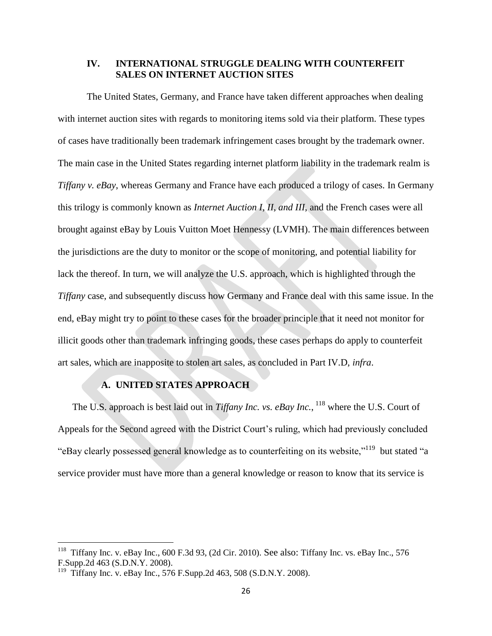### **IV. INTERNATIONAL STRUGGLE DEALING WITH COUNTERFEIT SALES ON INTERNET AUCTION SITES**

The United States, Germany, and France have taken different approaches when dealing with internet auction sites with regards to monitoring items sold via their platform. These types of cases have traditionally been trademark infringement cases brought by the trademark owner. The main case in the United States regarding internet platform liability in the trademark realm is *Tiffany v. eBay*, whereas Germany and France have each produced a trilogy of cases. In Germany this trilogy is commonly known as *Internet Auction I, II, and III*, and the French cases were all brought against eBay by Louis Vuitton Moet Hennessy (LVMH). The main differences between the jurisdictions are the duty to monitor or the scope of monitoring, and potential liability for lack the thereof. In turn, we will analyze the U.S. approach, which is highlighted through the *Tiffany* case, and subsequently discuss how Germany and France deal with this same issue. In the end, eBay might try to point to these cases for the broader principle that it need not monitor for illicit goods other than trademark infringing goods, these cases perhaps do apply to counterfeit art sales, which are inapposite to stolen art sales, as concluded in Part IV.D, *infra*.

# **A. UNITED STATES APPROACH**

The U.S. approach is best laid out in *Tiffany Inc. vs. eBay Inc.*, <sup>118</sup> where the U.S. Court of Appeals for the Second agreed with the District Court's ruling, which had previously concluded "eBay clearly possessed general knowledge as to counterfeiting on its website,"<sup>119</sup> but stated "a service provider must have more than a general knowledge or reason to know that its service is

<sup>&</sup>lt;sup>118</sup> Tiffany Inc. v. eBay Inc., 600 F.3d 93, (2d Cir. 2010). See also: Tiffany Inc. vs. eBay Inc., 576 F.Supp.2d 463 (S.D.N.Y. 2008).

<sup>119</sup> Tiffany Inc. v. eBay Inc., 576 F.Supp.2d 463, 508 (S.D.N.Y. 2008).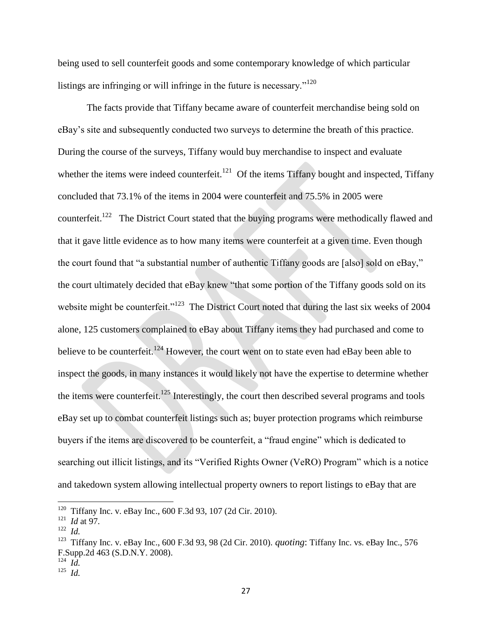being used to sell counterfeit goods and some contemporary knowledge of which particular listings are infringing or will infringe in the future is necessary." $120$ 

The facts provide that Tiffany became aware of counterfeit merchandise being sold on eBay's site and subsequently conducted two surveys to determine the breath of this practice. During the course of the surveys, Tiffany would buy merchandise to inspect and evaluate whether the items were indeed counterfeit.<sup>121</sup> Of the items Tiffany bought and inspected, Tiffany concluded that 73.1% of the items in 2004 were counterfeit and 75.5% in 2005 were counterfeit.<sup>122</sup> The District Court stated that the buying programs were methodically flawed and that it gave little evidence as to how many items were counterfeit at a given time. Even though the court found that "a substantial number of authentic Tiffany goods are [also] sold on eBay," the court ultimately decided that eBay knew "that some portion of the Tiffany goods sold on its website might be counterfeit."<sup>123</sup> The District Court noted that during the last six weeks of 2004 alone, 125 customers complained to eBay about Tiffany items they had purchased and come to believe to be counterfeit.<sup>124</sup> However, the court went on to state even had eBay been able to inspect the goods, in many instances it would likely not have the expertise to determine whether the items were counterfeit.<sup>125</sup> Interestingly, the court then described several programs and tools eBay set up to combat counterfeit listings such as; buyer protection programs which reimburse buyers if the items are discovered to be counterfeit, a "fraud engine" which is dedicated to searching out illicit listings, and its "Verified Rights Owner (VeRO) Program" which is a notice and takedown system allowing intellectual property owners to report listings to eBay that are

l

<sup>&</sup>lt;sup>120</sup> Tiffany Inc. v. eBay Inc., 600 F.3d 93, 107 (2d Cir. 2010).

 $121$  *Id at* 97.

<sup>122</sup> *Id.*

<sup>&</sup>lt;sup>123</sup> Tiffany Inc. v. eBay Inc., 600 F.3d 93, 98 (2d Cir. 2010). *quoting*: Tiffany Inc. vs. eBay Inc., 576 F.Supp.2d 463 (S.D.N.Y. 2008).

<sup>124</sup> *Id.*

<sup>125</sup> *Id.*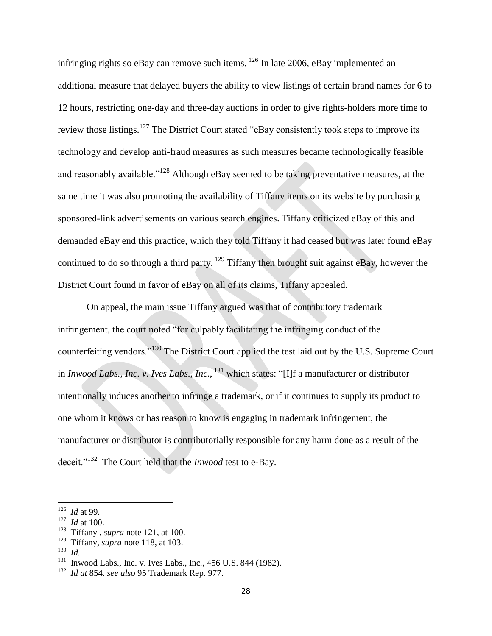infringing rights so eBay can remove such items.  $^{126}$  In late 2006, eBay implemented an additional measure that delayed buyers the ability to view listings of certain brand names for 6 to 12 hours, restricting one-day and three-day auctions in order to give rights-holders more time to review those listings.<sup>127</sup> The District Court stated "eBay consistently took steps to improve its technology and develop anti-fraud measures as such measures became technologically feasible and reasonably available."<sup>128</sup> Although eBay seemed to be taking preventative measures, at the same time it was also promoting the availability of Tiffany items on its website by purchasing sponsored-link advertisements on various search engines. Tiffany criticized eBay of this and demanded eBay end this practice, which they told Tiffany it had ceased but was later found eBay continued to do so through a third party.  $129$  Tiffany then brought suit against eBay, however the District Court found in favor of eBay on all of its claims, Tiffany appealed.

On appeal, the main issue Tiffany argued was that of contributory trademark infringement, the court noted "for culpably facilitating the infringing conduct of the counterfeiting vendors."<sup>130</sup> The District Court applied the test laid out by the U.S. Supreme Court in *Inwood Labs., Inc. v. Ives Labs., Inc.*, <sup>131</sup> which states: "[I]f a manufacturer or distributor intentionally induces another to infringe a trademark, or if it continues to supply its product to one whom it knows or has reason to know is engaging in trademark infringement, the manufacturer or distributor is contributorially responsible for any harm done as a result of the deceit."<sup>132</sup> The Court held that the *Inwood* test to e-Bay.

 $\overline{a}$ 

<sup>126</sup> *Id* at 99.

 $127$  *Id* at 100.

<sup>128</sup> Tiffany , *supra* note 121, at 100.

<sup>129</sup> Tiffany, *supra* note 118, at 103.

<sup>130</sup> *Id.*

<sup>131</sup> Inwood Labs., Inc. v. Ives Labs., Inc*.*, 456 U.S. 844 (1982).

<sup>132</sup> *Id at* 854. *see also* 95 Trademark Rep. 977.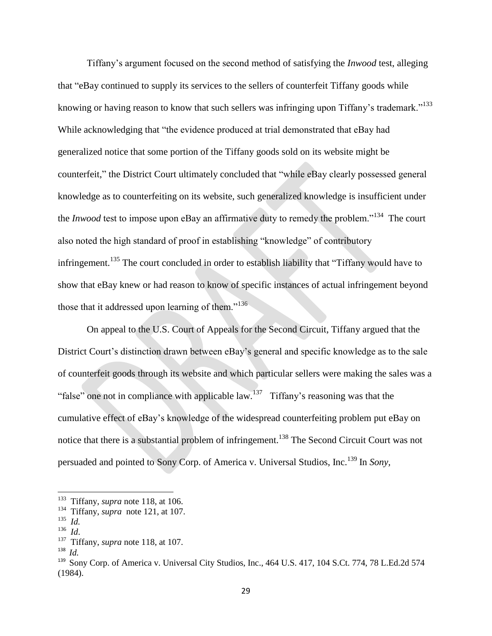Tiffany's argument focused on the second method of satisfying the *Inwood* test, alleging that "eBay continued to supply its services to the sellers of counterfeit Tiffany goods while knowing or having reason to know that such sellers was infringing upon Tiffany's trademark."<sup>133</sup> While acknowledging that "the evidence produced at trial demonstrated that eBay had generalized notice that some portion of the Tiffany goods sold on its website might be counterfeit," the District Court ultimately concluded that "while eBay clearly possessed general knowledge as to counterfeiting on its website, such generalized knowledge is insufficient under the *Inwood* test to impose upon eBay an affirmative duty to remedy the problem."<sup>134</sup> The court also noted the high standard of proof in establishing "knowledge" of contributory infringement.<sup>135</sup> The court concluded in order to establish liability that "Tiffany would have to show that eBay knew or had reason to know of specific instances of actual infringement beyond those that it addressed upon learning of them."<sup>136</sup>

On appeal to the U.S. Court of Appeals for the Second Circuit, Tiffany argued that the District Court's distinction drawn between eBay's general and specific knowledge as to the sale of counterfeit goods through its website and which particular sellers were making the sales was a "false" one not in compliance with applicable  $law$ <sup>137</sup> Tiffany's reasoning was that the cumulative effect of eBay's knowledge of the widespread counterfeiting problem put eBay on notice that there is a substantial problem of infringement.<sup>138</sup> The Second Circuit Court was not persuaded and pointed to Sony Corp. of America v. Universal Studios, Inc.<sup>139</sup> In *Sony,*

<sup>&</sup>lt;sup>133</sup> Tiffany, *supra* note 118, at 106.

<sup>134</sup> Tiffany, *supra* note 121, at 107.

<sup>135</sup> *Id.*

<sup>136</sup> *Id*.

<sup>&</sup>lt;sup>137</sup> Tiffany, *supra* note 118, at 107.

<sup>138</sup> *Id.*

<sup>&</sup>lt;sup>139</sup> Sony Corp. of America v. Universal City Studios, Inc., 464 U.S. 417, 104 S.Ct. 774, 78 L.Ed.2d 574 (1984).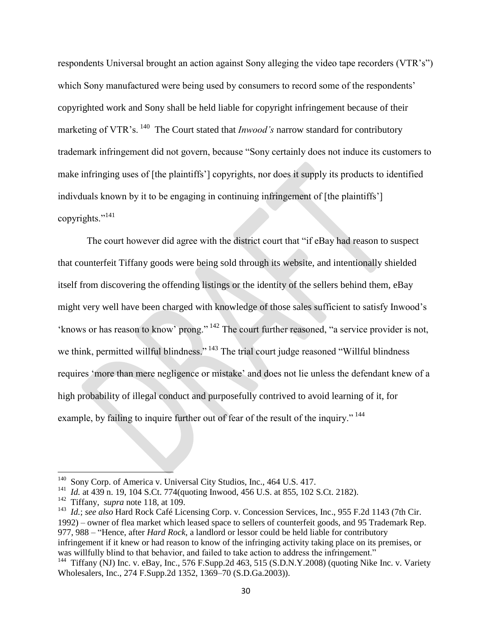respondents Universal brought an action against Sony alleging the video tape recorders (VTR's") which Sony manufactured were being used by consumers to record some of the respondents' copyrighted work and Sony shall be held liable for copyright infringement because of their marketing of VTR's.<sup>140</sup> The Court stated that *Inwood's* narrow standard for contributory trademark infringement did not govern, because "Sony certainly does not induce its customers to make infringing uses of [the plaintiffs'] copyrights, nor does it supply its products to identified indivduals known by it to be engaging in continuing infringement of [the plaintiffs'] copyrights."<sup>141</sup>

The court however did agree with the district court that "if eBay had reason to suspect that counterfeit Tiffany goods were being sold through its website, and intentionally shielded itself from discovering the offending listings or the identity of the sellers behind them, eBay might very well have been charged with knowledge of those sales sufficient to satisfy Inwood's 'knows or has reason to know' prong."<sup>142</sup> The court further reasoned, "a service provider is not, we think, permitted willful blindness."<sup>143</sup> The trial court judge reasoned "Willful blindness" requires 'more than mere negligence or mistake' and does not lie unless the defendant knew of a high probability of illegal conduct and purposefully contrived to avoid learning of it, for example, by failing to inquire further out of fear of the result of the inquiry." <sup>144</sup>

 $\overline{\phantom{a}}$ 

143 *Id.*; *see also* Hard Rock Café Licensing Corp. v. Concession Services, Inc., 955 F.2d 1143 (7th Cir. 1992) – owner of flea market which leased space to sellers of counterfeit goods, and 95 Trademark Rep. 977, 988 – "Hence, after *Hard Rock*, a landlord or lessor could be held liable for contributory infringement if it knew or had reason to know of the infringing activity taking place on its premises, or was willfully blind to that behavior, and failed to take action to address the infringement."

<sup>140</sup> Sony Corp. of America v. Universal City Studios, Inc., 464 U.S. 417.

<sup>&</sup>lt;sup>141</sup> *Id.* at 439 n. 19, 104 S.Ct. 774(quoting Inwood, 456 U.S. at 855, 102 S.Ct. 2182).

<sup>142</sup> Tiffany, *supra* note 118, at 109.

<sup>&</sup>lt;sup>144</sup> Tiffany (NJ) Inc. v. eBay, Inc., 576 F.Supp.2d 463, 515 (S.D.N.Y.2008) (quoting Nike Inc. v. Variety Wholesalers, Inc., 274 F.Supp.2d 1352, 1369–70 (S.D.Ga.2003)).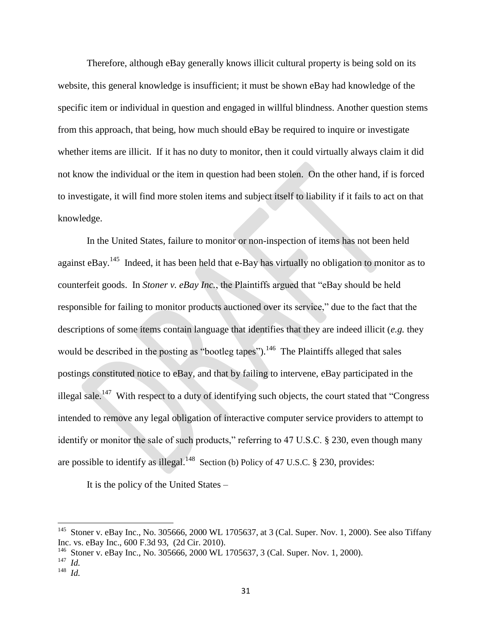Therefore, although eBay generally knows illicit cultural property is being sold on its website, this general knowledge is insufficient; it must be shown eBay had knowledge of the specific item or individual in question and engaged in willful blindness. Another question stems from this approach, that being, how much should eBay be required to inquire or investigate whether items are illicit. If it has no duty to monitor, then it could virtually always claim it did not know the individual or the item in question had been stolen. On the other hand, if is forced to investigate, it will find more stolen items and subject itself to liability if it fails to act on that knowledge.

In the United States, failure to monitor or non-inspection of items has not been held against eBay.<sup>145</sup> Indeed, it has been held that e-Bay has virtually no obligation to monitor as to counterfeit goods. In *Stoner v. eBay Inc.*, the Plaintiffs argued that "eBay should be held responsible for failing to monitor products auctioned over its service," due to the fact that the descriptions of some items contain language that identifies that they are indeed illicit (*e.g.* they would be described in the posting as "bootleg tapes").  $146$  The Plaintiffs alleged that sales postings constituted notice to eBay, and that by failing to intervene, eBay participated in the illegal sale.<sup>147</sup> With respect to a duty of identifying such objects, the court stated that "Congress" intended to remove any legal obligation of interactive computer service providers to attempt to identify or monitor the sale of such products," referring to 47 U.S.C. § 230, even though many are possible to identify as illegal.<sup>148</sup> Section (b) Policy of 47 U.S.C. § 230, provides:

It is the policy of the United States –

 145 Stoner v. eBay Inc., No. 305666, 2000 WL 1705637, at 3 (Cal. Super. Nov. 1, 2000). See also Tiffany Inc. vs. eBay Inc., 600 F.3d 93, (2d Cir. 2010).

<sup>146</sup> Stoner v. eBay Inc., No. 305666, 2000 WL 1705637, 3 (Cal. Super. Nov. 1, 2000).

<sup>147</sup> *Id.*

<sup>148</sup> *Id.*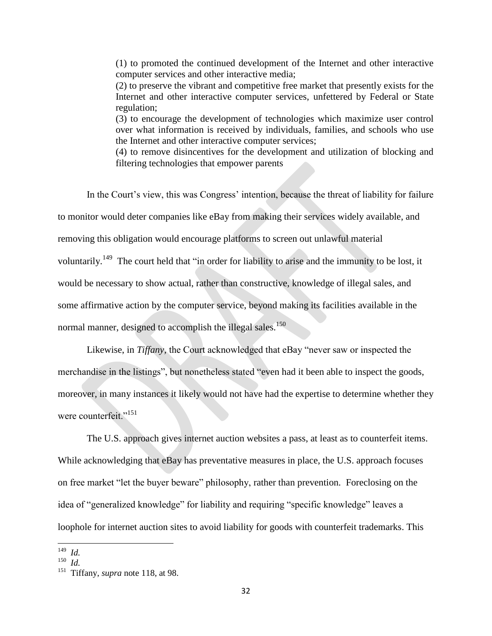(1) to promoted the continued development of the Internet and other interactive computer services and other interactive media;

(2) to preserve the vibrant and competitive free market that presently exists for the Internet and other interactive computer services, unfettered by Federal or State regulation;

(3) to encourage the development of technologies which maximize user control over what information is received by individuals, families, and schools who use the Internet and other interactive computer services;

(4) to remove disincentives for the development and utilization of blocking and filtering technologies that empower parents

In the Court's view, this was Congress' intention, because the threat of liability for failure to monitor would deter companies like eBay from making their services widely available, and removing this obligation would encourage platforms to screen out unlawful material voluntarily.<sup>149</sup> The court held that "in order for liability to arise and the immunity to be lost, it would be necessary to show actual, rather than constructive, knowledge of illegal sales, and some affirmative action by the computer service, beyond making its facilities available in the normal manner, designed to accomplish the illegal sales.<sup>150</sup>

Likewise, in *Tiffany,* the Court acknowledged that eBay "never saw or inspected the merchandise in the listings", but nonetheless stated "even had it been able to inspect the goods, moreover, in many instances it likely would not have had the expertise to determine whether they were counterfeit."<sup>151</sup>

The U.S. approach gives internet auction websites a pass, at least as to counterfeit items. While acknowledging that eBay has preventative measures in place, the U.S. approach focuses on free market "let the buyer beware" philosophy, rather than prevention. Foreclosing on the idea of "generalized knowledge" for liability and requiring "specific knowledge" leaves a loophole for internet auction sites to avoid liability for goods with counterfeit trademarks. This

 149 *Id.*

<sup>150</sup> *Id.*

<sup>&</sup>lt;sup>151</sup> Tiffany, *supra* note 118, at 98.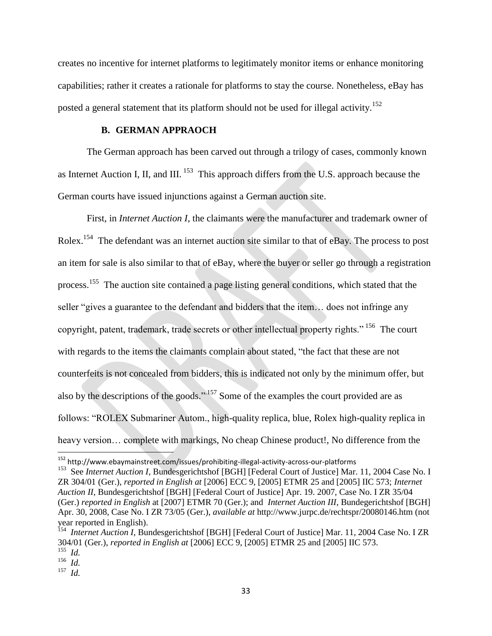creates no incentive for internet platforms to legitimately monitor items or enhance monitoring capabilities; rather it creates a rationale for platforms to stay the course. Nonetheless, eBay has posted a general statement that its platform should not be used for illegal activity.<sup>152</sup>

#### **B. GERMAN APPRAOCH**

The German approach has been carved out through a trilogy of cases, commonly known as Internet Auction I, II, and III. <sup>153</sup> This approach differs from the U.S. approach because the German courts have issued injunctions against a German auction site.

First, in *Internet Auction I*, the claimants were the manufacturer and trademark owner of Rolex.<sup>154</sup> The defendant was an internet auction site similar to that of eBay. The process to post an item for sale is also similar to that of eBay, where the buyer or seller go through a registration process.<sup>155</sup> The auction site contained a page listing general conditions, which stated that the seller "gives a guarantee to the defendant and bidders that the item… does not infringe any copyright, patent, trademark, trade secrets or other intellectual property rights." <sup>156</sup> The court with regards to the items the claimants complain about stated, "the fact that these are not counterfeits is not concealed from bidders, this is indicated not only by the minimum offer, but also by the descriptions of the goods."<sup>157</sup> Some of the examples the court provided are as follows: "ROLEX Submariner Autom., high-quality replica, blue, Rolex high-quality replica in heavy version... complete with markings, No cheap Chinese product!, No difference from the

<sup>&</sup>lt;sup>152</sup> http://www.ebaymainstreet.com/issues/prohibiting-illegal-activity-across-our-platforms

<sup>&</sup>lt;sup>153</sup> See *Internet Auction I*, Bundesgerichtshof [BGH] [Federal Court of Justice] Mar. 11, 2004 Case No. I ZR 304/01 (Ger.), *reported in English at* [2006] ECC 9, [2005] ETMR 25 and [2005] IIC 573; *Internet Auction II*, Bundesgerichtshof [BGH] [Federal Court of Justice] Apr. 19. 2007, Case No. I ZR 35/04 (Ger.) *reported in English* at [2007] ETMR 70 (Ger.); and *Internet Auction III*, Bundegerichtshof [BGH] Apr. 30, 2008, Case No. I ZR 73/05 (Ger.), *available at* http://www.jurpc.de/rechtspr/20080146.htm (not

year reported in English). 154 *Internet Auction I*, Bundesgerichtshof [BGH] [Federal Court of Justice] Mar. 11, 2004 Case No. I ZR 304/01 (Ger.), *reported in English at* [2006] ECC 9, [2005] ETMR 25 and [2005] IIC 573. 155 *Id.*

<sup>156</sup> *Id.*

<sup>157</sup> *Id.*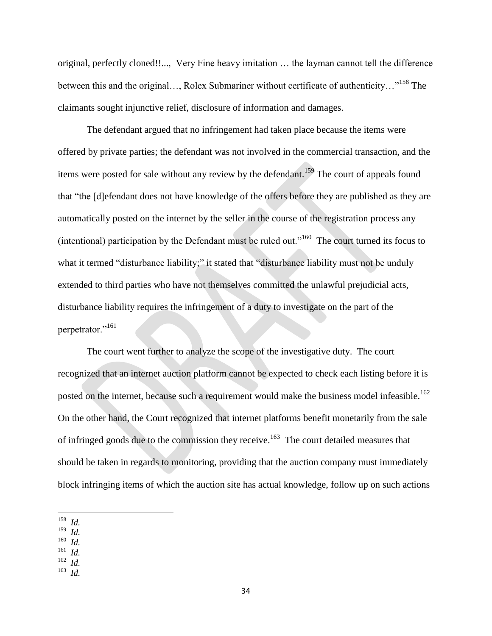original, perfectly cloned!!..., Very Fine heavy imitation … the layman cannot tell the difference between this and the original…, Rolex Submariner without certificate of authenticity…"<sup>158</sup> The claimants sought injunctive relief, disclosure of information and damages.

The defendant argued that no infringement had taken place because the items were offered by private parties; the defendant was not involved in the commercial transaction, and the items were posted for sale without any review by the defendant.<sup>159</sup> The court of appeals found that "the [d]efendant does not have knowledge of the offers before they are published as they are automatically posted on the internet by the seller in the course of the registration process any (intentional) participation by the Defendant must be ruled out."<sup>160</sup> The court turned its focus to what it termed "disturbance liability;" it stated that "disturbance liability must not be unduly extended to third parties who have not themselves committed the unlawful prejudicial acts, disturbance liability requires the infringement of a duty to investigate on the part of the perpetrator."<sup>161</sup>

The court went further to analyze the scope of the investigative duty. The court recognized that an internet auction platform cannot be expected to check each listing before it is posted on the internet, because such a requirement would make the business model infeasible.<sup>162</sup> On the other hand, the Court recognized that internet platforms benefit monetarily from the sale of infringed goods due to the commission they receive.<sup>163</sup> The court detailed measures that should be taken in regards to monitoring, providing that the auction company must immediately block infringing items of which the auction site has actual knowledge, follow up on such actions

- 159 *Id.*
- 160 *Id.*
- 161 *Id.*
- 162 *Id.* 163
- *Id.*

 158 *Id.*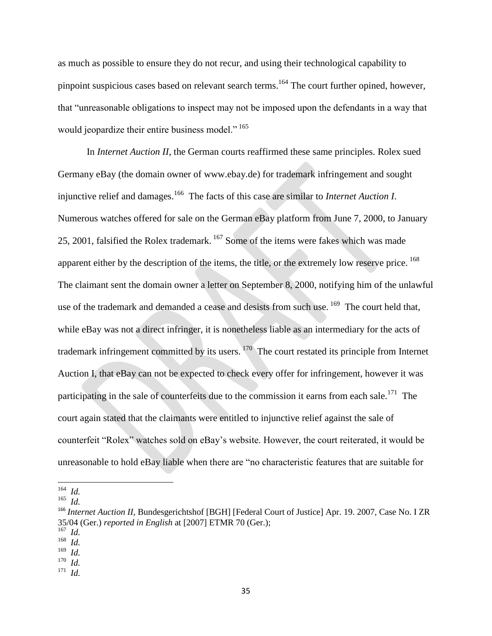as much as possible to ensure they do not recur, and using their technological capability to pinpoint suspicious cases based on relevant search terms.<sup>164</sup> The court further opined, however, that "unreasonable obligations to inspect may not be imposed upon the defendants in a way that would jeopardize their entire business model." <sup>165</sup>

In *Internet Auction II*, the German courts reaffirmed these same principles. Rolex sued Germany eBay (the domain owner of www.ebay.de) for trademark infringement and sought injunctive relief and damages.<sup>166</sup> The facts of this case are similar to *Internet Auction I*. Numerous watches offered for sale on the German eBay platform from June 7, 2000, to January 25, 2001, falsified the Rolex trademark.<sup>167</sup> Some of the items were fakes which was made apparent either by the description of the items, the title, or the extremely low reserve price. <sup>168</sup> The claimant sent the domain owner a letter on September 8, 2000, notifying him of the unlawful use of the trademark and demanded a cease and desists from such use. <sup>169</sup> The court held that, while eBay was not a direct infringer, it is nonetheless liable as an intermediary for the acts of trademark infringement committed by its users. <sup>170</sup> The court restated its principle from Internet Auction I, that eBay can not be expected to check every offer for infringement, however it was participating in the sale of counterfeits due to the commission it earns from each sale.<sup>171</sup> The court again stated that the claimants were entitled to injunctive relief against the sale of counterfeit "Rolex" watches sold on eBay's website. However, the court reiterated, it would be unreasonable to hold eBay liable when there are "no characteristic features that are suitable for

 164 *Id.*

<sup>165</sup> *Id.*

<sup>&</sup>lt;sup>166</sup> *Internet Auction II*, Bundesgerichtshof [BGH] [Federal Court of Justice] Apr. 19. 2007, Case No. I ZR 35/04 (Ger.) *reported in English* at [2007] ETMR 70 (Ger.);

<sup>167</sup> *Id.*

<sup>168</sup> *Id.* 169

*Id.*

<sup>170</sup> *Id.*

<sup>171</sup> *Id.*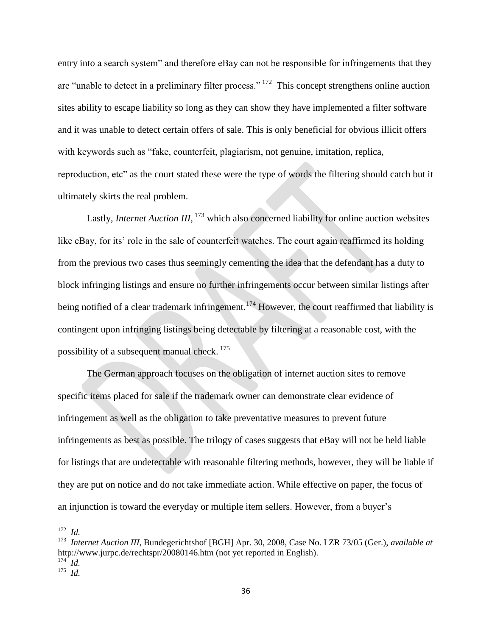entry into a search system" and therefore eBay can not be responsible for infringements that they are "unable to detect in a preliminary filter process." <sup>172</sup> This concept strengthens online auction sites ability to escape liability so long as they can show they have implemented a filter software and it was unable to detect certain offers of sale. This is only beneficial for obvious illicit offers with keywords such as "fake, counterfeit, plagiarism, not genuine, imitation, replica, reproduction, etc" as the court stated these were the type of words the filtering should catch but it ultimately skirts the real problem.

Lastly, *Internet Auction III*, <sup>173</sup> which also concerned liability for online auction websites like eBay, for its' role in the sale of counterfeit watches. The court again reaffirmed its holding from the previous two cases thus seemingly cementing the idea that the defendant has a duty to block infringing listings and ensure no further infringements occur between similar listings after being notified of a clear trademark infringement.<sup>174</sup> However, the court reaffirmed that liability is contingent upon infringing listings being detectable by filtering at a reasonable cost, with the possibility of a subsequent manual check. <sup>175</sup>

The German approach focuses on the obligation of internet auction sites to remove specific items placed for sale if the trademark owner can demonstrate clear evidence of infringement as well as the obligation to take preventative measures to prevent future infringements as best as possible. The trilogy of cases suggests that eBay will not be held liable for listings that are undetectable with reasonable filtering methods, however, they will be liable if they are put on notice and do not take immediate action. While effective on paper, the focus of an injunction is toward the everyday or multiple item sellers. However, from a buyer's

 172 *Id.*

<sup>173</sup> *Internet Auction III*, Bundegerichtshof [BGH] Apr. 30, 2008, Case No. I ZR 73/05 (Ger.), *available at*  http://www.jurpc.de/rechtspr/20080146.htm (not yet reported in English).

<sup>174</sup> *Id.* 175 *Id.*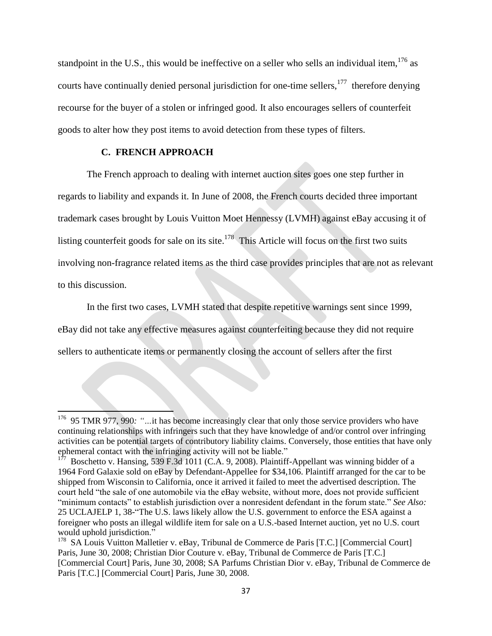standpoint in the U.S., this would be ineffective on a seller who sells an individual item,  $176$  as courts have continually denied personal jurisdiction for one-time sellers, $177$  therefore denying recourse for the buyer of a stolen or infringed good. It also encourages sellers of counterfeit goods to alter how they post items to avoid detection from these types of filters.

## **C. FRENCH APPROACH**

The French approach to dealing with internet auction sites goes one step further in regards to liability and expands it. In June of 2008, the French courts decided three important trademark cases brought by Louis Vuitton Moet Hennessy (LVMH) against eBay accusing it of listing counterfeit goods for sale on its site.<sup>178</sup> This Article will focus on the first two suits involving non-fragrance related items as the third case provides principles that are not as relevant to this discussion.

In the first two cases, LVMH stated that despite repetitive warnings sent since 1999, eBay did not take any effective measures against counterfeiting because they did not require sellers to authenticate items or permanently closing the account of sellers after the first

<sup>&</sup>lt;sup>176</sup> 95 TMR 977, 990: "...it has become increasingly clear that only those service providers who have continuing relationships with infringers such that they have knowledge of and/or control over infringing activities can be potential targets of contributory liability claims. Conversely, those entities that have only ephemeral contact with the infringing activity will not be liable."<br> $177 \text{ De}_2$  because we Hanging, 530 E 24.1011 (C A, 0, 2008). Plaintiful

Boschetto v. Hansing, 539 F.3d 1011 (C.A. 9, 2008). Plaintiff-Appellant was winning bidder of a 1964 Ford Galaxie sold on eBay by Defendant-Appellee for \$34,106. Plaintiff arranged for the car to be shipped from Wisconsin to California, once it arrived it failed to meet the advertised description. The court held "the sale of one automobile via the eBay website, without more, does not provide sufficient "minimum contacts" to establish jurisdiction over a nonresident defendant in the forum state." *See Also:*  25 UCLAJELP 1, 38-"The U.S. laws likely allow the U.S. government to enforce the ESA against a foreigner who posts an illegal wildlife item for sale on a U.S.-based Internet auction, yet no U.S. court would uphold jurisdiction."

<sup>&</sup>lt;sup>178</sup> SA Louis Vuitton Malletier v. eBay, Tribunal de Commerce de Paris [T.C.] [Commercial Court] Paris, June 30, 2008; Christian Dior Couture v. eBay, Tribunal de Commerce de Paris [T.C.] [Commercial Court] Paris, June 30, 2008; SA Parfums Christian Dior v. eBay, Tribunal de Commerce de Paris [T.C.] [Commercial Court] Paris, June 30, 2008.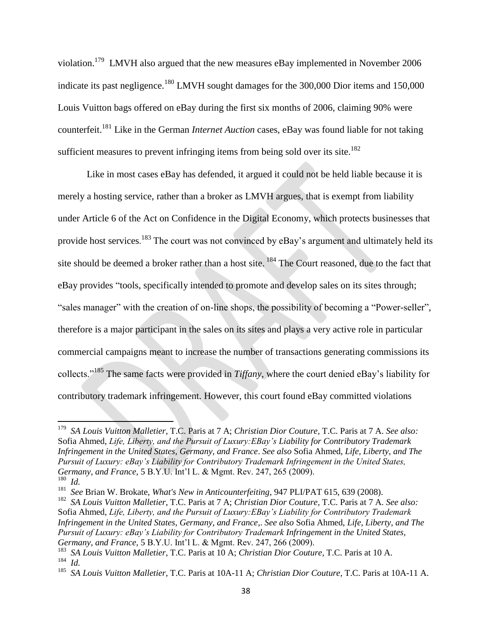violation.<sup>179</sup> LMVH also argued that the new measures eBay implemented in November 2006 indicate its past negligence.<sup>180</sup> LMVH sought damages for the 300,000 Dior items and 150,000 Louis Vuitton bags offered on eBay during the first six months of 2006, claiming 90% were counterfeit.<sup>181</sup> Like in the German *Internet Auction* cases, eBay was found liable for not taking sufficient measures to prevent infringing items from being sold over its site.<sup>182</sup>

Like in most cases eBay has defended, it argued it could not be held liable because it is merely a hosting service, rather than a broker as LMVH argues, that is exempt from liability under Article 6 of the Act on Confidence in the Digital Economy, which protects businesses that provide host services.<sup>183</sup> The court was not convinced by eBay's argument and ultimately held its site should be deemed a broker rather than a host site. <sup>184</sup> The Court reasoned, due to the fact that eBay provides "tools, specifically intended to promote and develop sales on its sites through; "sales manager" with the creation of on-line shops, the possibility of becoming a "Power-seller", therefore is a major participant in the sales on its sites and plays a very active role in particular commercial campaigns meant to increase the number of transactions generating commissions its collects."<sup>185</sup> The same facts were provided in *Tiffany*, where the court denied eBay's liability for contributory trademark infringement. However, this court found eBay committed violations

 179 *SA Louis Vuitton Malletier*, T.C. Paris at 7 A; *Christian Dior Couture,* T.C. Paris at 7 A. *See also:*  Sofia Ahmed, *Life, Liberty, and the Pursuit of Luxury:EBay's Liability for Contributory Trademark Infringement in the United States, Germany, and France*. *See also* Sofia Ahmed, *Life, Liberty, and The Pursuit of Luxury: eBay's Liability for Contributory Trademark Infringement in the United States, Germany, and France,* 5 B.Y.U. Int'l L. & Mgmt. Rev. 247, 265 (2009). 180 *Id.*

<sup>181</sup> *See* Brian W. Brokate, *What's New in Anticounterfeiting*, 947 PLI/PAT 615, 639 (2008).

<sup>182</sup> *SA Louis Vuitton Malletier*, T.C. Paris at 7 A; *Christian Dior Couture,* T.C. Paris at 7 A. *See also:*  Sofia Ahmed, *Life, Liberty, and the Pursuit of Luxury:EBay's Liability for Contributory Trademark Infringement in the United States, Germany, and France*,. *See also* Sofia Ahmed, *Life, Liberty, and The Pursuit of Luxury: eBay's Liability for Contributory Trademark Infringement in the United States, Germany, and France,* 5 B.Y.U. Int'l L. & Mgmt. Rev. 247, 266 (2009).

<sup>183</sup> *SA Louis Vuitton Malletier*, T.C. Paris at 10 A; *Christian Dior Couture,* T.C. Paris at 10 A. 184 *Id.*

<sup>185</sup> *SA Louis Vuitton Malletier*, T.C. Paris at 10A-11 A; *Christian Dior Couture,* T.C. Paris at 10A-11 A.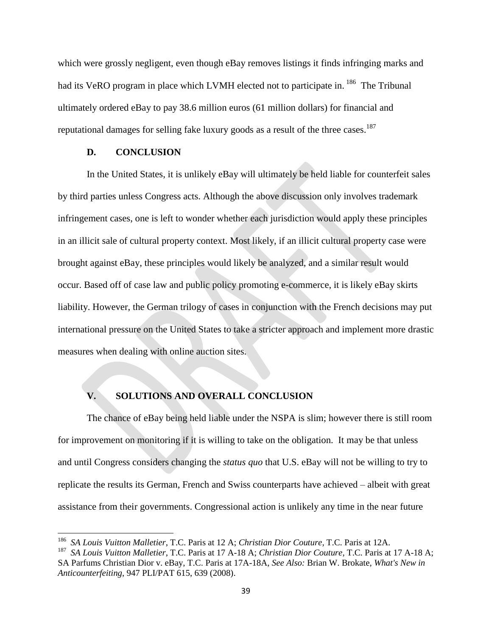which were grossly negligent, even though eBay removes listings it finds infringing marks and had its VeRO program in place which LVMH elected not to participate in. <sup>186</sup> The Tribunal ultimately ordered eBay to pay 38.6 million euros (61 million dollars) for financial and reputational damages for selling fake luxury goods as a result of the three cases.<sup>187</sup>

### **D. CONCLUSION**

l

In the United States, it is unlikely eBay will ultimately be held liable for counterfeit sales by third parties unless Congress acts. Although the above discussion only involves trademark infringement cases, one is left to wonder whether each jurisdiction would apply these principles in an illicit sale of cultural property context. Most likely, if an illicit cultural property case were brought against eBay, these principles would likely be analyzed, and a similar result would occur. Based off of case law and public policy promoting e-commerce, it is likely eBay skirts liability. However, the German trilogy of cases in conjunction with the French decisions may put international pressure on the United States to take a stricter approach and implement more drastic measures when dealing with online auction sites.

## **V. SOLUTIONS AND OVERALL CONCLUSION**

The chance of eBay being held liable under the NSPA is slim; however there is still room for improvement on monitoring if it is willing to take on the obligation. It may be that unless and until Congress considers changing the *status quo* that U.S. eBay will not be willing to try to replicate the results its German, French and Swiss counterparts have achieved – albeit with great assistance from their governments. Congressional action is unlikely any time in the near future

<sup>186</sup> *SA Louis Vuitton Malletier*, T.C. Paris at 12 A; *Christian Dior Couture*, T.C. Paris at 12A.

<sup>187</sup> *SA Louis Vuitton Malletier*, T.C. Paris at 17 A-18 A; *Christian Dior Couture*, T.C. Paris at 17 A-18 A; SA Parfums Christian Dior v. eBay, T.C. Paris at 17A-18A, *See Also:* Brian W. Brokate, *What's New in Anticounterfeiting*, 947 PLI/PAT 615, 639 (2008).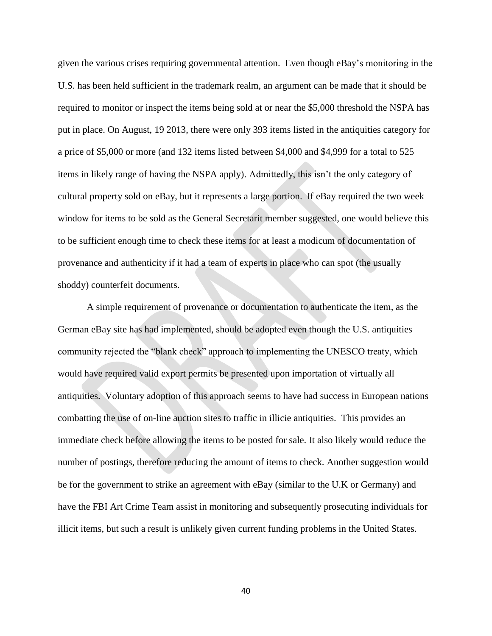given the various crises requiring governmental attention. Even though eBay's monitoring in the U.S. has been held sufficient in the trademark realm, an argument can be made that it should be required to monitor or inspect the items being sold at or near the \$5,000 threshold the NSPA has put in place. On August, 19 2013, there were only 393 items listed in the antiquities category for a price of \$5,000 or more (and 132 items listed between \$4,000 and \$4,999 for a total to 525 items in likely range of having the NSPA apply). Admittedly, this isn't the only category of cultural property sold on eBay, but it represents a large portion. If eBay required the two week window for items to be sold as the General Secretarit member suggested, one would believe this to be sufficient enough time to check these items for at least a modicum of documentation of provenance and authenticity if it had a team of experts in place who can spot (the usually shoddy) counterfeit documents.

A simple requirement of provenance or documentation to authenticate the item, as the German eBay site has had implemented, should be adopted even though the U.S. antiquities community rejected the "blank check" approach to implementing the UNESCO treaty, which would have required valid export permits be presented upon importation of virtually all antiquities. Voluntary adoption of this approach seems to have had success in European nations combatting the use of on-line auction sites to traffic in illicie antiquities. This provides an immediate check before allowing the items to be posted for sale. It also likely would reduce the number of postings, therefore reducing the amount of items to check. Another suggestion would be for the government to strike an agreement with eBay (similar to the U.K or Germany) and have the FBI Art Crime Team assist in monitoring and subsequently prosecuting individuals for illicit items, but such a result is unlikely given current funding problems in the United States.

40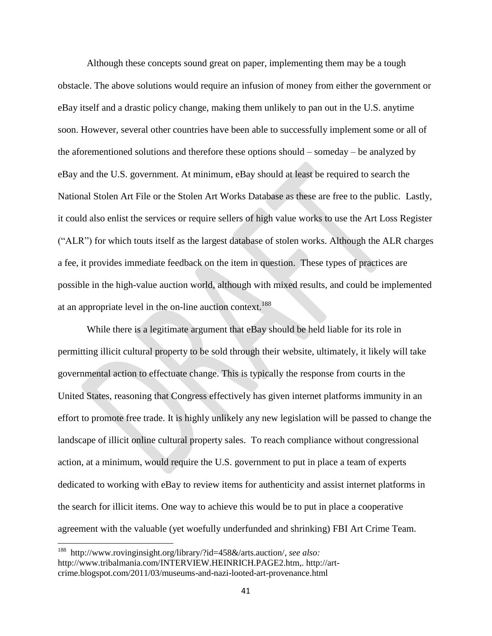Although these concepts sound great on paper, implementing them may be a tough obstacle. The above solutions would require an infusion of money from either the government or eBay itself and a drastic policy change, making them unlikely to pan out in the U.S. anytime soon. However, several other countries have been able to successfully implement some or all of the aforementioned solutions and therefore these options should – someday – be analyzed by eBay and the U.S. government. At minimum, eBay should at least be required to search the National Stolen Art File or the Stolen Art Works Database as these are free to the public. Lastly, it could also enlist the services or require sellers of high value works to use the Art Loss Register ("ALR") for which touts itself as the largest database of stolen works. Although the ALR charges a fee, it provides immediate feedback on the item in question. These types of practices are possible in the high-value auction world, although with mixed results, and could be implemented at an appropriate level in the on-line auction context.<sup>188</sup>

While there is a legitimate argument that eBay should be held liable for its role in permitting illicit cultural property to be sold through their website, ultimately, it likely will take governmental action to effectuate change. This is typically the response from courts in the United States, reasoning that Congress effectively has given internet platforms immunity in an effort to promote free trade. It is highly unlikely any new legislation will be passed to change the landscape of illicit online cultural property sales. To reach compliance without congressional action, at a minimum, would require the U.S. government to put in place a team of experts dedicated to working with eBay to review items for authenticity and assist internet platforms in the search for illicit items. One way to achieve this would be to put in place a cooperative agreement with the valuable (yet woefully underfunded and shrinking) FBI Art Crime Team.

 188 http://www.rovinginsight.org/library/?id=458&/arts.auction/, *see also:*  http://www.tribalmania.com/INTERVIEW.HEINRICH.PAGE2.htm,. http://artcrime.blogspot.com/2011/03/museums-and-nazi-looted-art-provenance.html